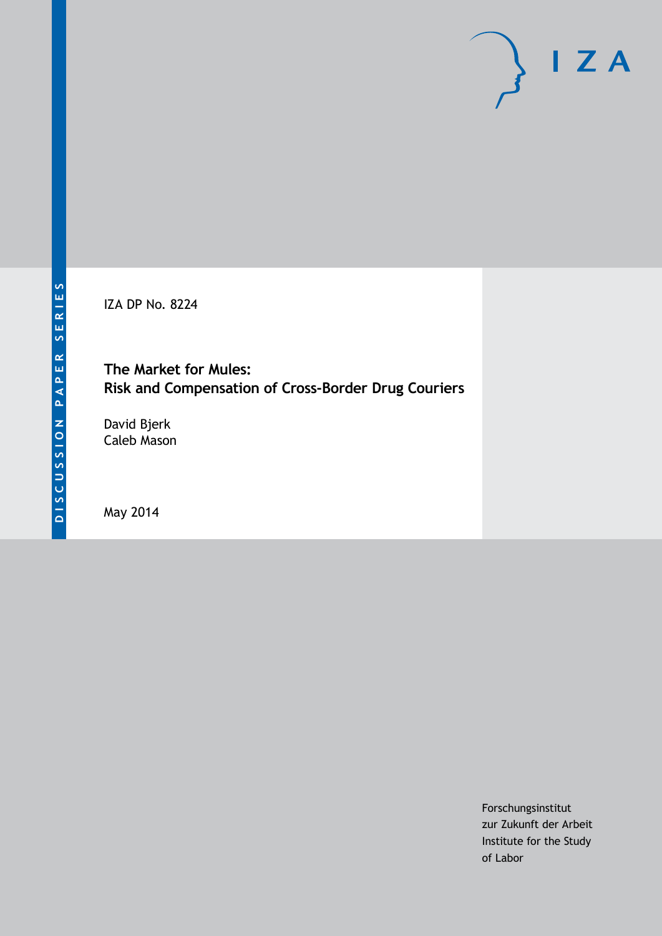IZA DP No. 8224

# **The Market for Mules: Risk and Compensation of Cross-Border Drug Couriers**

David Bjerk Caleb Mason

May 2014

Forschungsinstitut zur Zukunft der Arbeit Institute for the Study of Labor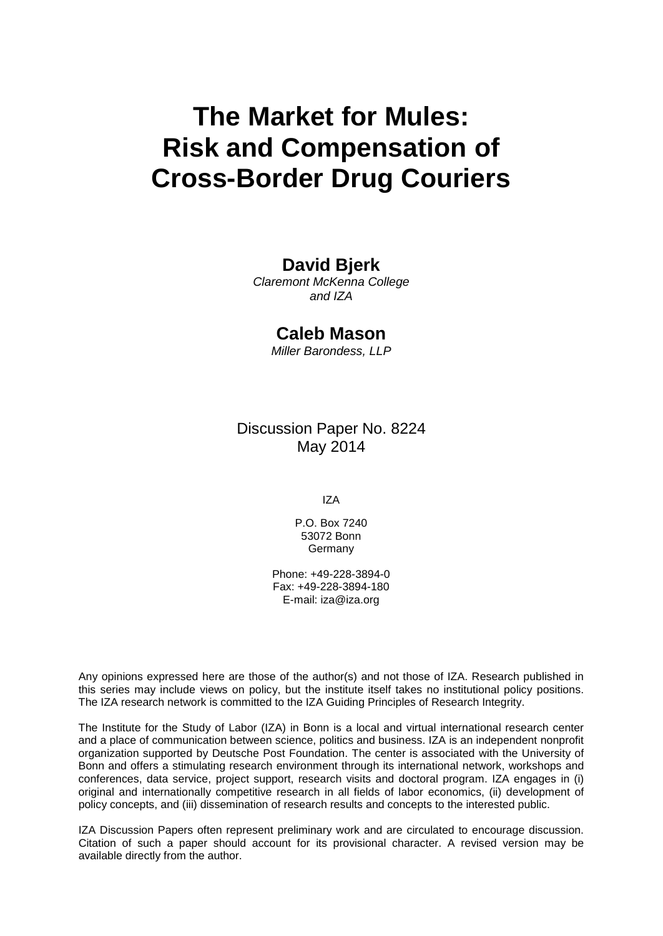# **The Market for Mules: Risk and Compensation of Cross-Border Drug Couriers**

# **David Bjerk**

*Claremont McKenna College and IZA*

# **Caleb Mason**

*Miller Barondess, LLP*

Discussion Paper No. 8224 May 2014

IZA

P.O. Box 7240 53072 Bonn Germany

Phone: +49-228-3894-0 Fax: +49-228-3894-180 E-mail: [iza@iza.org](mailto:iza@iza.org)

Any opinions expressed here are those of the author(s) and not those of IZA. Research published in this series may include views on policy, but the institute itself takes no institutional policy positions. The IZA research network is committed to the IZA Guiding Principles of Research Integrity.

The Institute for the Study of Labor (IZA) in Bonn is a local and virtual international research center and a place of communication between science, politics and business. IZA is an independent nonprofit organization supported by Deutsche Post Foundation. The center is associated with the University of Bonn and offers a stimulating research environment through its international network, workshops and conferences, data service, project support, research visits and doctoral program. IZA engages in (i) original and internationally competitive research in all fields of labor economics, (ii) development of policy concepts, and (iii) dissemination of research results and concepts to the interested public.

<span id="page-1-0"></span>IZA Discussion Papers often represent preliminary work and are circulated to encourage discussion. Citation of such a paper should account for its provisional character. A revised version may be available directly from the author.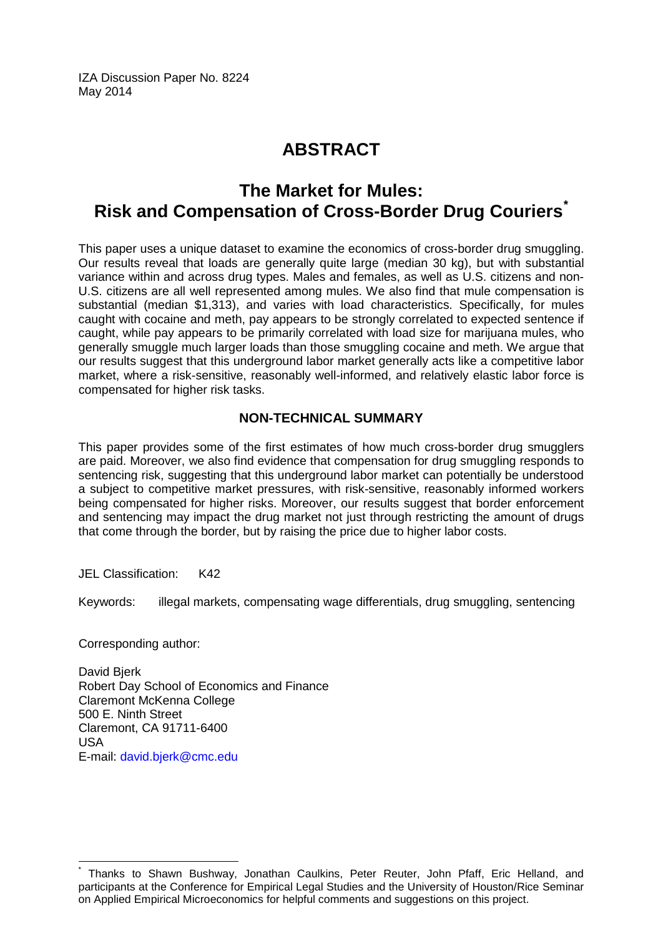IZA Discussion Paper No. 8224 May 2014

# **ABSTRACT**

# **The Market for Mules: Risk and Compensation of Cross-Border Drug Couriers[\\*](#page-1-0)**

This paper uses a unique dataset to examine the economics of cross-border drug smuggling. Our results reveal that loads are generally quite large (median 30 kg), but with substantial variance within and across drug types. Males and females, as well as U.S. citizens and non-U.S. citizens are all well represented among mules. We also find that mule compensation is substantial (median \$1,313), and varies with load characteristics. Specifically, for mules caught with cocaine and meth, pay appears to be strongly correlated to expected sentence if caught, while pay appears to be primarily correlated with load size for marijuana mules, who generally smuggle much larger loads than those smuggling cocaine and meth. We argue that our results suggest that this underground labor market generally acts like a competitive labor market, where a risk-sensitive, reasonably well-informed, and relatively elastic labor force is compensated for higher risk tasks.

# **NON-TECHNICAL SUMMARY**

This paper provides some of the first estimates of how much cross-border drug smugglers are paid. Moreover, we also find evidence that compensation for drug smuggling responds to sentencing risk, suggesting that this underground labor market can potentially be understood a subject to competitive market pressures, with risk-sensitive, reasonably informed workers being compensated for higher risks. Moreover, our results suggest that border enforcement and sentencing may impact the drug market not just through restricting the amount of drugs that come through the border, but by raising the price due to higher labor costs.

JEL Classification: K42

Keywords: illegal markets, compensating wage differentials, drug smuggling, sentencing

Corresponding author:

David Bjerk Robert Day School of Economics and Finance Claremont McKenna College 500 E. Ninth Street Claremont, CA 91711-6400 USA E-mail: [david.bjerk@cmc.edu](mailto:david.bjerk@cmc.edu)

Thanks to Shawn Bushway, Jonathan Caulkins, Peter Reuter, John Pfaff, Eric Helland, and participants at the Conference for Empirical Legal Studies and the University of Houston/Rice Seminar on Applied Empirical Microeconomics for helpful comments and suggestions on this project.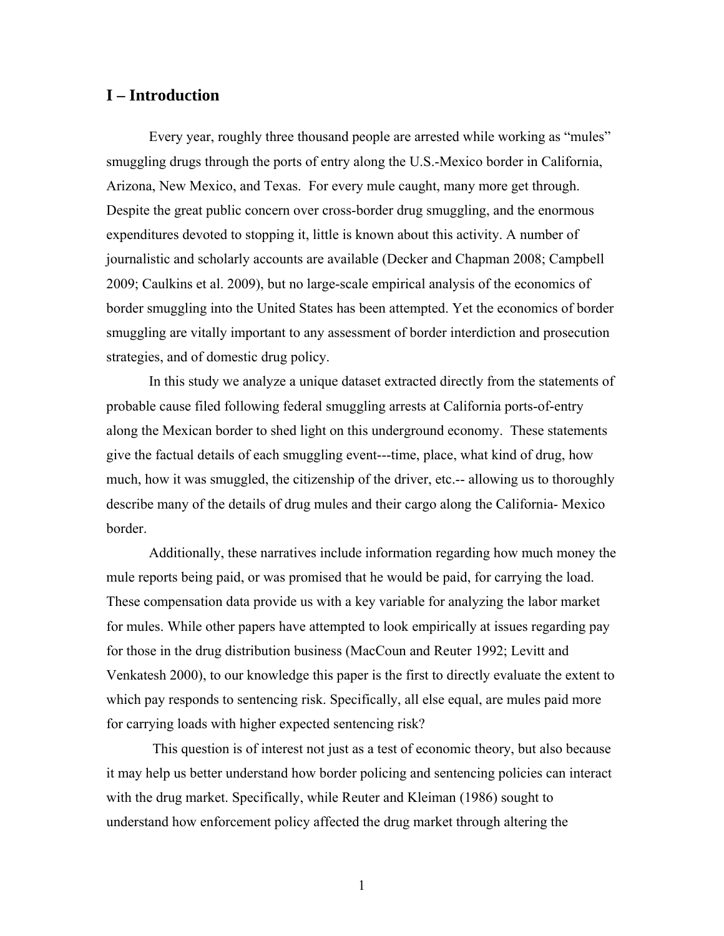# **I – Introduction**

Every year, roughly three thousand people are arrested while working as "mules" smuggling drugs through the ports of entry along the U.S.-Mexico border in California, Arizona, New Mexico, and Texas. For every mule caught, many more get through. Despite the great public concern over cross-border drug smuggling, and the enormous expenditures devoted to stopping it, little is known about this activity. A number of journalistic and scholarly accounts are available (Decker and Chapman 2008; Campbell 2009; Caulkins et al. 2009), but no large-scale empirical analysis of the economics of border smuggling into the United States has been attempted. Yet the economics of border smuggling are vitally important to any assessment of border interdiction and prosecution strategies, and of domestic drug policy.

In this study we analyze a unique dataset extracted directly from the statements of probable cause filed following federal smuggling arrests at California ports-of-entry along the Mexican border to shed light on this underground economy. These statements give the factual details of each smuggling event---time, place, what kind of drug, how much, how it was smuggled, the citizenship of the driver, etc.-- allowing us to thoroughly describe many of the details of drug mules and their cargo along the California- Mexico border.

Additionally, these narratives include information regarding how much money the mule reports being paid, or was promised that he would be paid, for carrying the load. These compensation data provide us with a key variable for analyzing the labor market for mules. While other papers have attempted to look empirically at issues regarding pay for those in the drug distribution business (MacCoun and Reuter 1992; Levitt and Venkatesh 2000), to our knowledge this paper is the first to directly evaluate the extent to which pay responds to sentencing risk. Specifically, all else equal, are mules paid more for carrying loads with higher expected sentencing risk?

 This question is of interest not just as a test of economic theory, but also because it may help us better understand how border policing and sentencing policies can interact with the drug market. Specifically, while Reuter and Kleiman (1986) sought to understand how enforcement policy affected the drug market through altering the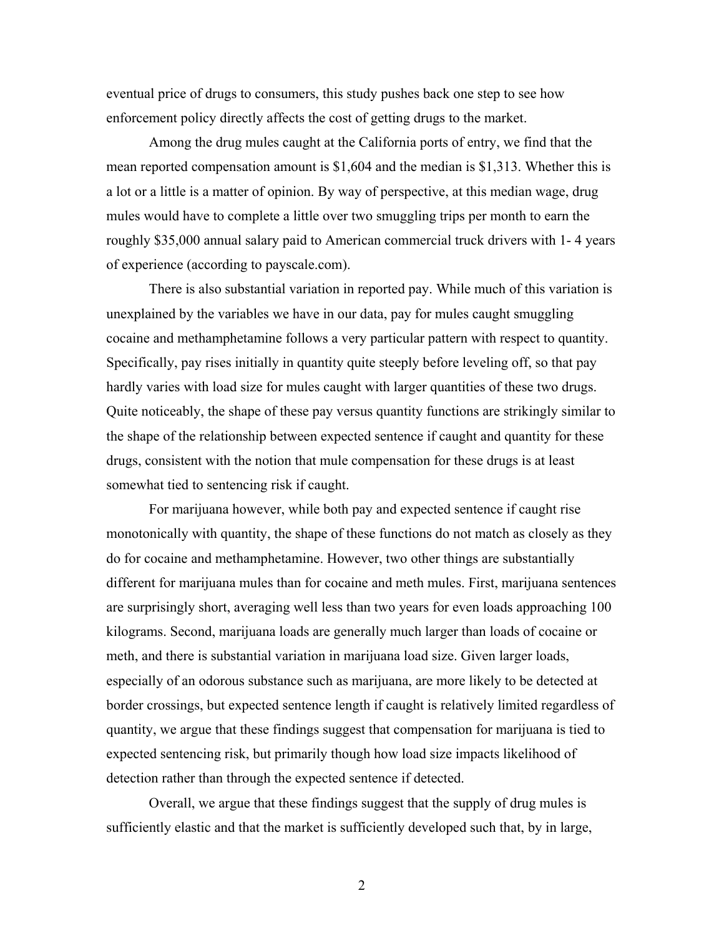eventual price of drugs to consumers, this study pushes back one step to see how enforcement policy directly affects the cost of getting drugs to the market.

 Among the drug mules caught at the California ports of entry, we find that the mean reported compensation amount is \$1,604 and the median is \$1,313. Whether this is a lot or a little is a matter of opinion. By way of perspective, at this median wage, drug mules would have to complete a little over two smuggling trips per month to earn the roughly \$35,000 annual salary paid to American commercial truck drivers with 1- 4 years of experience (according to payscale.com).

 There is also substantial variation in reported pay. While much of this variation is unexplained by the variables we have in our data, pay for mules caught smuggling cocaine and methamphetamine follows a very particular pattern with respect to quantity. Specifically, pay rises initially in quantity quite steeply before leveling off, so that pay hardly varies with load size for mules caught with larger quantities of these two drugs. Quite noticeably, the shape of these pay versus quantity functions are strikingly similar to the shape of the relationship between expected sentence if caught and quantity for these drugs, consistent with the notion that mule compensation for these drugs is at least somewhat tied to sentencing risk if caught.

 For marijuana however, while both pay and expected sentence if caught rise monotonically with quantity, the shape of these functions do not match as closely as they do for cocaine and methamphetamine. However, two other things are substantially different for marijuana mules than for cocaine and meth mules. First, marijuana sentences are surprisingly short, averaging well less than two years for even loads approaching 100 kilograms. Second, marijuana loads are generally much larger than loads of cocaine or meth, and there is substantial variation in marijuana load size. Given larger loads, especially of an odorous substance such as marijuana, are more likely to be detected at border crossings, but expected sentence length if caught is relatively limited regardless of quantity, we argue that these findings suggest that compensation for marijuana is tied to expected sentencing risk, but primarily though how load size impacts likelihood of detection rather than through the expected sentence if detected.

Overall, we argue that these findings suggest that the supply of drug mules is sufficiently elastic and that the market is sufficiently developed such that, by in large,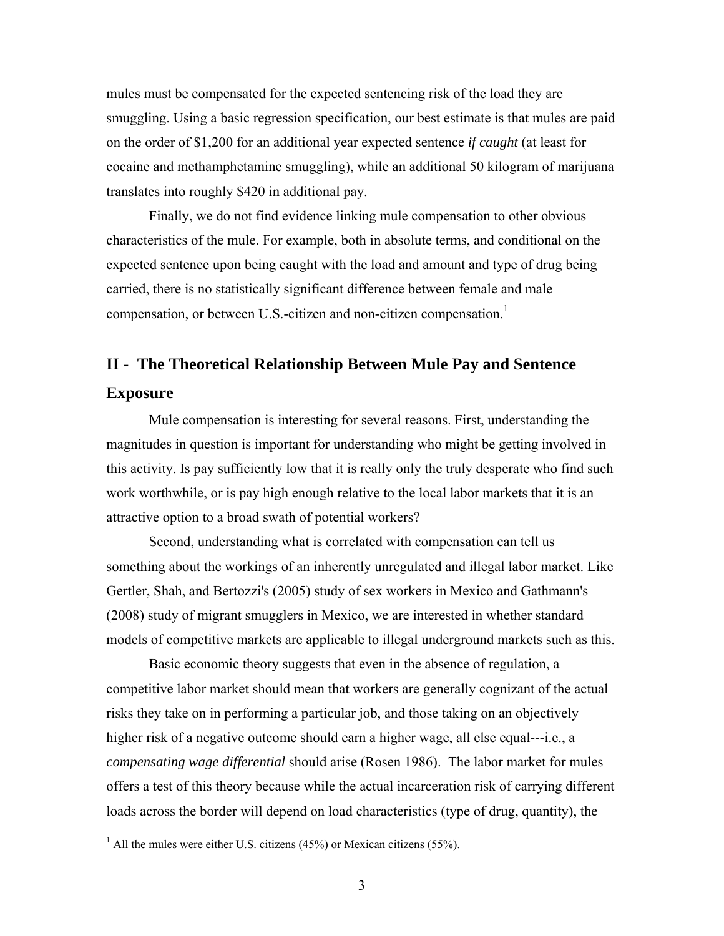mules must be compensated for the expected sentencing risk of the load they are smuggling. Using a basic regression specification, our best estimate is that mules are paid on the order of \$1,200 for an additional year expected sentence *if caught* (at least for cocaine and methamphetamine smuggling), while an additional 50 kilogram of marijuana translates into roughly \$420 in additional pay.

Finally, we do not find evidence linking mule compensation to other obvious characteristics of the mule. For example, both in absolute terms, and conditional on the expected sentence upon being caught with the load and amount and type of drug being carried, there is no statistically significant difference between female and male compensation, or between U.S.-citizen and non-citizen compensation.<sup>1</sup>

# **II - The Theoretical Relationship Between Mule Pay and Sentence Exposure**

Mule compensation is interesting for several reasons. First, understanding the magnitudes in question is important for understanding who might be getting involved in this activity. Is pay sufficiently low that it is really only the truly desperate who find such work worthwhile, or is pay high enough relative to the local labor markets that it is an attractive option to a broad swath of potential workers?

Second, understanding what is correlated with compensation can tell us something about the workings of an inherently unregulated and illegal labor market. Like Gertler, Shah, and Bertozzi's (2005) study of sex workers in Mexico and Gathmann's (2008) study of migrant smugglers in Mexico, we are interested in whether standard models of competitive markets are applicable to illegal underground markets such as this.

Basic economic theory suggests that even in the absence of regulation, a competitive labor market should mean that workers are generally cognizant of the actual risks they take on in performing a particular job, and those taking on an objectively higher risk of a negative outcome should earn a higher wage, all else equal---i.e., a *compensating wage differential* should arise (Rosen 1986). The labor market for mules offers a test of this theory because while the actual incarceration risk of carrying different loads across the border will depend on load characteristics (type of drug, quantity), the

<sup>&</sup>lt;sup>1</sup> All the mules were either U.S. citizens (45%) or Mexican citizens (55%).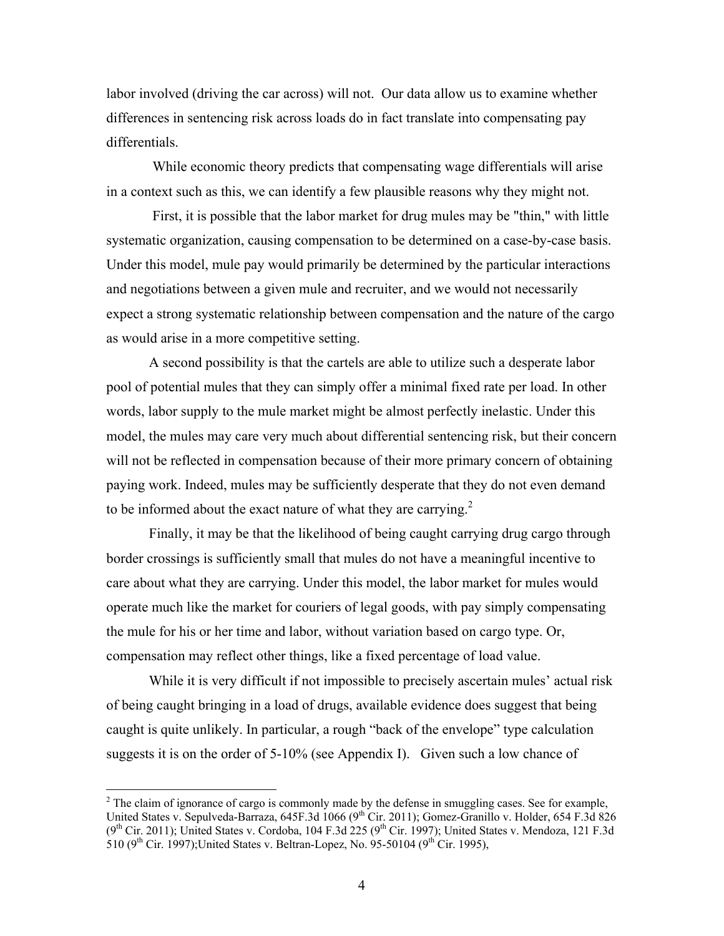labor involved (driving the car across) will not. Our data allow us to examine whether differences in sentencing risk across loads do in fact translate into compensating pay differentials.

 While economic theory predicts that compensating wage differentials will arise in a context such as this, we can identify a few plausible reasons why they might not.

 First, it is possible that the labor market for drug mules may be "thin," with little systematic organization, causing compensation to be determined on a case-by-case basis. Under this model, mule pay would primarily be determined by the particular interactions and negotiations between a given mule and recruiter, and we would not necessarily expect a strong systematic relationship between compensation and the nature of the cargo as would arise in a more competitive setting.

A second possibility is that the cartels are able to utilize such a desperate labor pool of potential mules that they can simply offer a minimal fixed rate per load. In other words, labor supply to the mule market might be almost perfectly inelastic. Under this model, the mules may care very much about differential sentencing risk, but their concern will not be reflected in compensation because of their more primary concern of obtaining paying work. Indeed, mules may be sufficiently desperate that they do not even demand to be informed about the exact nature of what they are carrying.<sup>2</sup>

Finally, it may be that the likelihood of being caught carrying drug cargo through border crossings is sufficiently small that mules do not have a meaningful incentive to care about what they are carrying. Under this model, the labor market for mules would operate much like the market for couriers of legal goods, with pay simply compensating the mule for his or her time and labor, without variation based on cargo type. Or, compensation may reflect other things, like a fixed percentage of load value.

While it is very difficult if not impossible to precisely ascertain mules' actual risk of being caught bringing in a load of drugs, available evidence does suggest that being caught is quite unlikely. In particular, a rough "back of the envelope" type calculation suggests it is on the order of 5-10% (see Appendix I). Given such a low chance of

<sup>&</sup>lt;sup>2</sup> The claim of ignorance of cargo is commonly made by the defense in smuggling cases. See for example, United States v. Sepulveda-Barraza, 645F.3d 1066 (9<sup>th</sup> Cir. 2011); Gomez-Granillo v. Holder, 654 F.3d 826 (9th Cir. 2011); United States v. Cordoba, 104 F.3d 225 (9th Cir. 1997); United States v. Mendoza, 121 F.3d  $(9^{th}$  Cir. 2011); United States v. 510 (9<sup>th</sup> Cir. 1997);United States v. Beltran-Lopez, No. 95-50104 (9<sup>th</sup> Cir. 1995),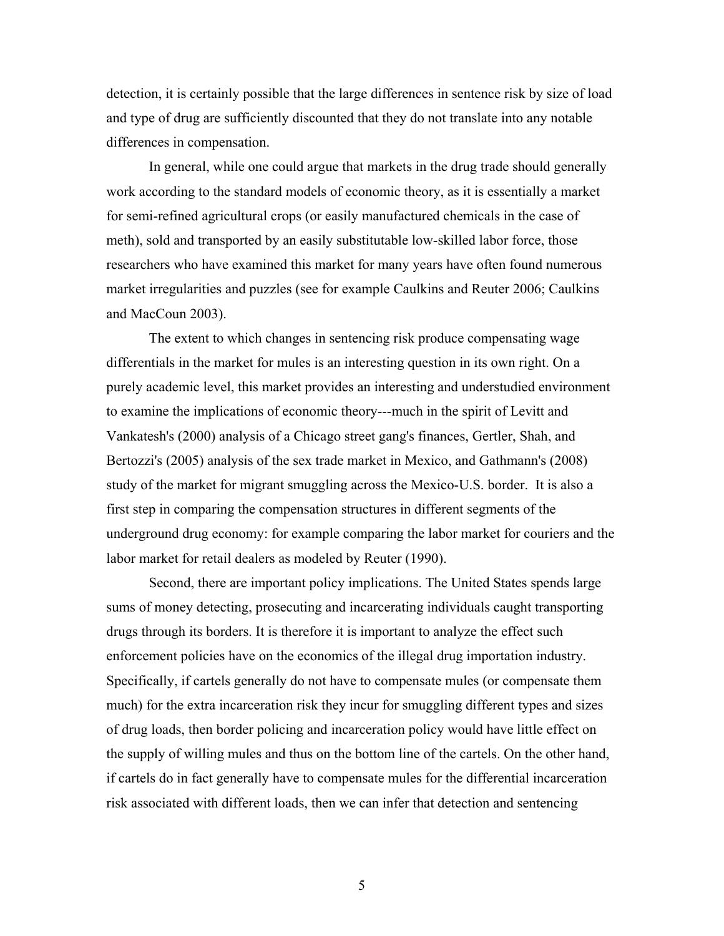detection, it is certainly possible that the large differences in sentence risk by size of load and type of drug are sufficiently discounted that they do not translate into any notable differences in compensation.

In general, while one could argue that markets in the drug trade should generally work according to the standard models of economic theory, as it is essentially a market for semi-refined agricultural crops (or easily manufactured chemicals in the case of meth), sold and transported by an easily substitutable low-skilled labor force, those researchers who have examined this market for many years have often found numerous market irregularities and puzzles (see for example Caulkins and Reuter 2006; Caulkins and MacCoun 2003).

The extent to which changes in sentencing risk produce compensating wage differentials in the market for mules is an interesting question in its own right. On a purely academic level, this market provides an interesting and understudied environment to examine the implications of economic theory---much in the spirit of Levitt and Vankatesh's (2000) analysis of a Chicago street gang's finances, Gertler, Shah, and Bertozzi's (2005) analysis of the sex trade market in Mexico, and Gathmann's (2008) study of the market for migrant smuggling across the Mexico-U.S. border. It is also a first step in comparing the compensation structures in different segments of the underground drug economy: for example comparing the labor market for couriers and the labor market for retail dealers as modeled by Reuter (1990).

Second, there are important policy implications. The United States spends large sums of money detecting, prosecuting and incarcerating individuals caught transporting drugs through its borders. It is therefore it is important to analyze the effect such enforcement policies have on the economics of the illegal drug importation industry. Specifically, if cartels generally do not have to compensate mules (or compensate them much) for the extra incarceration risk they incur for smuggling different types and sizes of drug loads, then border policing and incarceration policy would have little effect on the supply of willing mules and thus on the bottom line of the cartels. On the other hand, if cartels do in fact generally have to compensate mules for the differential incarceration risk associated with different loads, then we can infer that detection and sentencing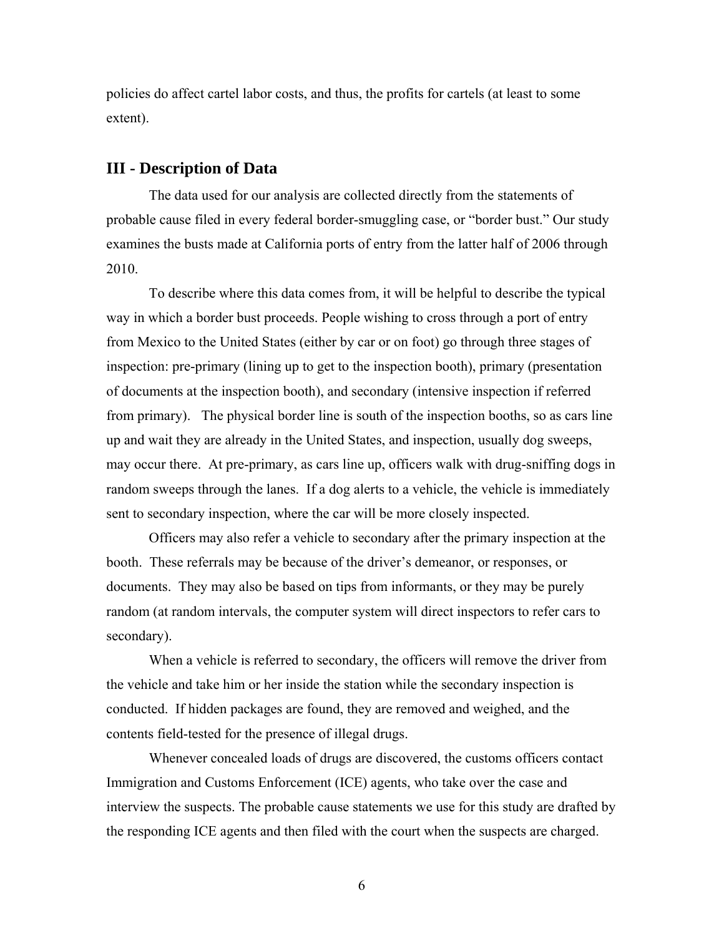policies do affect cartel labor costs, and thus, the profits for cartels (at least to some extent).

### **III - Description of Data**

The data used for our analysis are collected directly from the statements of probable cause filed in every federal border-smuggling case, or "border bust." Our study examines the busts made at California ports of entry from the latter half of 2006 through 2010.

To describe where this data comes from, it will be helpful to describe the typical way in which a border bust proceeds. People wishing to cross through a port of entry from Mexico to the United States (either by car or on foot) go through three stages of inspection: pre-primary (lining up to get to the inspection booth), primary (presentation of documents at the inspection booth), and secondary (intensive inspection if referred from primary). The physical border line is south of the inspection booths, so as cars line up and wait they are already in the United States, and inspection, usually dog sweeps, may occur there. At pre-primary, as cars line up, officers walk with drug-sniffing dogs in random sweeps through the lanes. If a dog alerts to a vehicle, the vehicle is immediately sent to secondary inspection, where the car will be more closely inspected.

Officers may also refer a vehicle to secondary after the primary inspection at the booth. These referrals may be because of the driver's demeanor, or responses, or documents. They may also be based on tips from informants, or they may be purely random (at random intervals, the computer system will direct inspectors to refer cars to secondary).

When a vehicle is referred to secondary, the officers will remove the driver from the vehicle and take him or her inside the station while the secondary inspection is conducted. If hidden packages are found, they are removed and weighed, and the contents field-tested for the presence of illegal drugs.

Whenever concealed loads of drugs are discovered, the customs officers contact Immigration and Customs Enforcement (ICE) agents, who take over the case and interview the suspects. The probable cause statements we use for this study are drafted by the responding ICE agents and then filed with the court when the suspects are charged.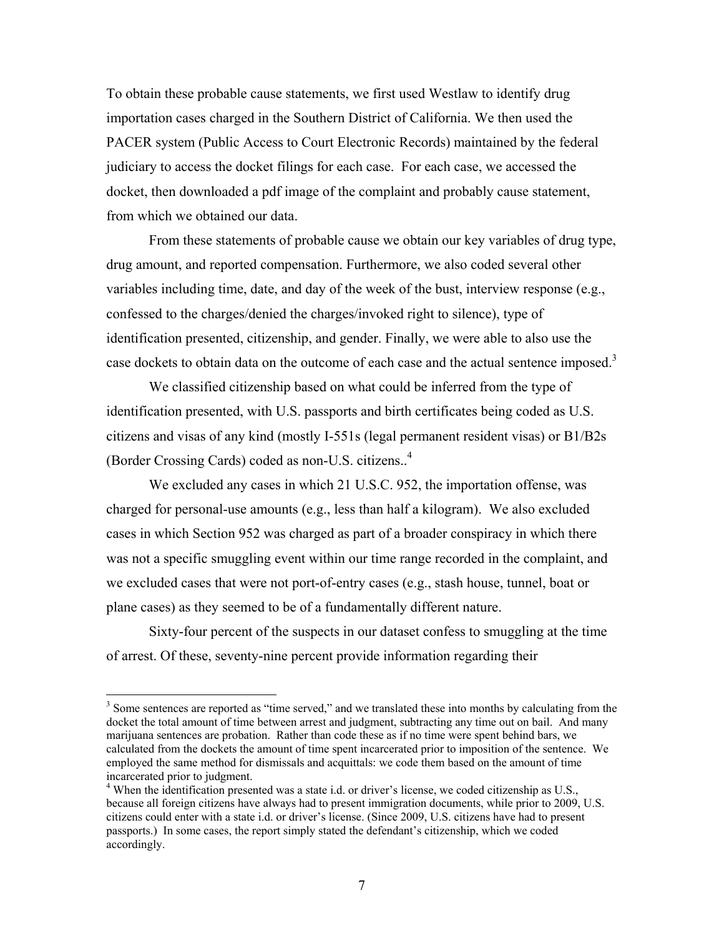To obtain these probable cause statements, we first used Westlaw to identify drug importation cases charged in the Southern District of California. We then used the PACER system (Public Access to Court Electronic Records) maintained by the federal judiciary to access the docket filings for each case. For each case, we accessed the docket, then downloaded a pdf image of the complaint and probably cause statement, from which we obtained our data.

 From these statements of probable cause we obtain our key variables of drug type, drug amount, and reported compensation. Furthermore, we also coded several other variables including time, date, and day of the week of the bust, interview response (e.g., confessed to the charges/denied the charges/invoked right to silence), type of identification presented, citizenship, and gender. Finally, we were able to also use the case dockets to obtain data on the outcome of each case and the actual sentence imposed.<sup>3</sup>

 We classified citizenship based on what could be inferred from the type of identification presented, with U.S. passports and birth certificates being coded as U.S. citizens and visas of any kind (mostly I-551s (legal permanent resident visas) or B1/B2s (Border Crossing Cards) coded as non-U.S. citizens..4

We excluded any cases in which 21 U.S.C. 952, the importation offense, was charged for personal-use amounts (e.g., less than half a kilogram). We also excluded cases in which Section 952 was charged as part of a broader conspiracy in which there was not a specific smuggling event within our time range recorded in the complaint, and we excluded cases that were not port-of-entry cases (e.g., stash house, tunnel, boat or plane cases) as they seemed to be of a fundamentally different nature.

Sixty-four percent of the suspects in our dataset confess to smuggling at the time of arrest. Of these, seventy-nine percent provide information regarding their

 $\overline{a}$ 

<sup>&</sup>lt;sup>3</sup> Some sentences are reported as "time served," and we translated these into months by calculating from the docket the total amount of time between arrest and judgment, subtracting any time out on bail. And many marijuana sentences are probation. Rather than code these as if no time were spent behind bars, we calculated from the dockets the amount of time spent incarcerated prior to imposition of the sentence. We employed the same method for dismissals and acquittals: we code them based on the amount of time incarcerated prior to judgment.

<sup>&</sup>lt;sup>4</sup> When the identification presented was a state i.d. or driver's license, we coded citizenship as U.S., because all foreign citizens have always had to present immigration documents, while prior to 2009, U.S. citizens could enter with a state i.d. or driver's license. (Since 2009, U.S. citizens have had to present passports.) In some cases, the report simply stated the defendant's citizenship, which we coded accordingly.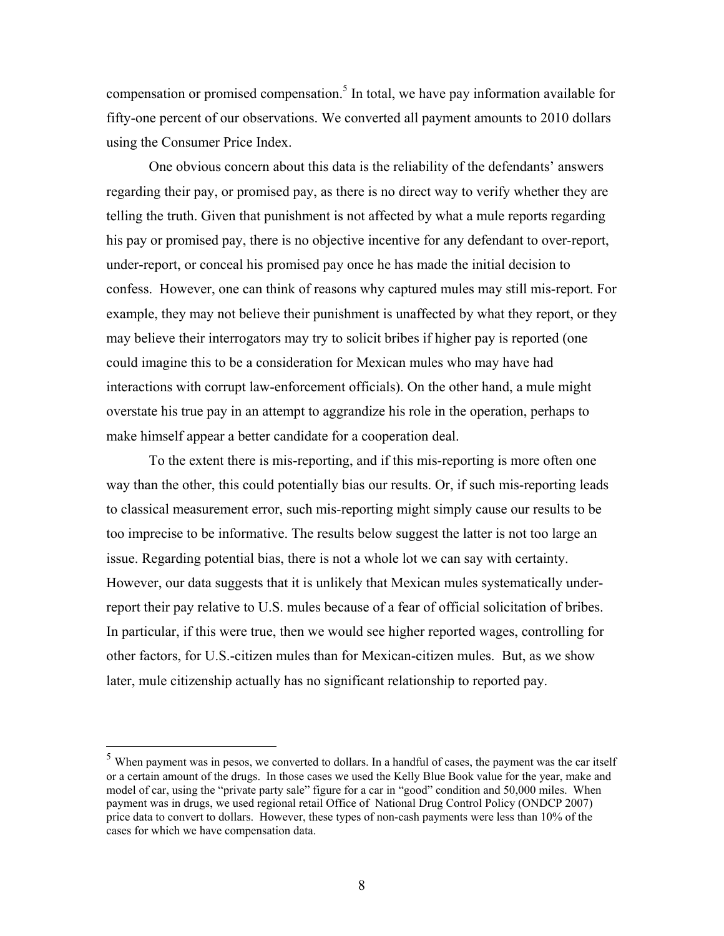compensation or promised compensation.<sup>5</sup> In total, we have pay information available for fifty-one percent of our observations. We converted all payment amounts to 2010 dollars using the Consumer Price Index.

One obvious concern about this data is the reliability of the defendants' answers regarding their pay, or promised pay, as there is no direct way to verify whether they are telling the truth. Given that punishment is not affected by what a mule reports regarding his pay or promised pay, there is no objective incentive for any defendant to over-report, under-report, or conceal his promised pay once he has made the initial decision to confess. However, one can think of reasons why captured mules may still mis-report. For example, they may not believe their punishment is unaffected by what they report, or they may believe their interrogators may try to solicit bribes if higher pay is reported (one could imagine this to be a consideration for Mexican mules who may have had interactions with corrupt law-enforcement officials). On the other hand, a mule might overstate his true pay in an attempt to aggrandize his role in the operation, perhaps to make himself appear a better candidate for a cooperation deal.

To the extent there is mis-reporting, and if this mis-reporting is more often one way than the other, this could potentially bias our results. Or, if such mis-reporting leads to classical measurement error, such mis-reporting might simply cause our results to be too imprecise to be informative. The results below suggest the latter is not too large an issue. Regarding potential bias, there is not a whole lot we can say with certainty. However, our data suggests that it is unlikely that Mexican mules systematically underreport their pay relative to U.S. mules because of a fear of official solicitation of bribes. In particular, if this were true, then we would see higher reported wages, controlling for other factors, for U.S.-citizen mules than for Mexican-citizen mules. But, as we show later, mule citizenship actually has no significant relationship to reported pay.

 $\overline{a}$ 

 $<sup>5</sup>$  When payment was in pesos, we converted to dollars. In a handful of cases, the payment was the car itself</sup> or a certain amount of the drugs. In those cases we used the Kelly Blue Book value for the year, make and model of car, using the "private party sale" figure for a car in "good" condition and 50,000 miles. When payment was in drugs, we used regional retail Office of National Drug Control Policy (ONDCP 2007) price data to convert to dollars. However, these types of non-cash payments were less than 10% of the cases for which we have compensation data.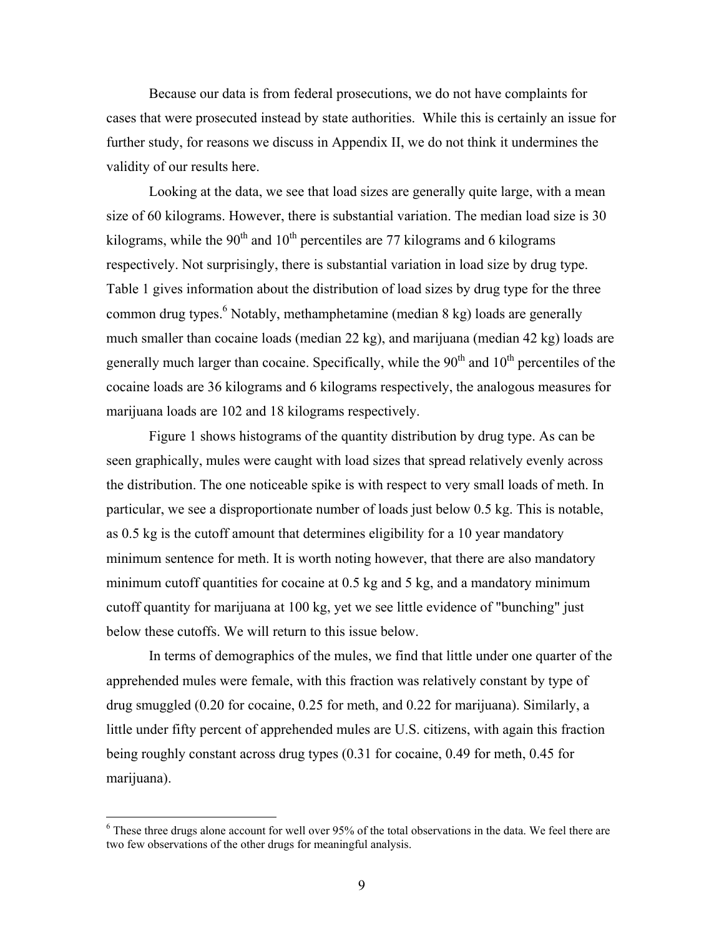Because our data is from federal prosecutions, we do not have complaints for cases that were prosecuted instead by state authorities. While this is certainly an issue for further study, for reasons we discuss in Appendix II, we do not think it undermines the validity of our results here.

Looking at the data, we see that load sizes are generally quite large, with a mean size of 60 kilograms. However, there is substantial variation. The median load size is 30 kilograms, while the  $90<sup>th</sup>$  and  $10<sup>th</sup>$  percentiles are 77 kilograms and 6 kilograms respectively. Not surprisingly, there is substantial variation in load size by drug type. Table 1 gives information about the distribution of load sizes by drug type for the three common drug types.<sup>6</sup> Notably, methamphetamine (median 8 kg) loads are generally much smaller than cocaine loads (median 22 kg), and marijuana (median 42 kg) loads are generally much larger than cocaine. Specifically, while the  $90<sup>th</sup>$  and  $10<sup>th</sup>$  percentiles of the cocaine loads are 36 kilograms and 6 kilograms respectively, the analogous measures for marijuana loads are 102 and 18 kilograms respectively.

Figure 1 shows histograms of the quantity distribution by drug type. As can be seen graphically, mules were caught with load sizes that spread relatively evenly across the distribution. The one noticeable spike is with respect to very small loads of meth. In particular, we see a disproportionate number of loads just below 0.5 kg. This is notable, as 0.5 kg is the cutoff amount that determines eligibility for a 10 year mandatory minimum sentence for meth. It is worth noting however, that there are also mandatory minimum cutoff quantities for cocaine at 0.5 kg and 5 kg, and a mandatory minimum cutoff quantity for marijuana at 100 kg, yet we see little evidence of "bunching" just below these cutoffs. We will return to this issue below.

 In terms of demographics of the mules, we find that little under one quarter of the apprehended mules were female, with this fraction was relatively constant by type of drug smuggled (0.20 for cocaine, 0.25 for meth, and 0.22 for marijuana). Similarly, a little under fifty percent of apprehended mules are U.S. citizens, with again this fraction being roughly constant across drug types (0.31 for cocaine, 0.49 for meth, 0.45 for marijuana).

 $\overline{a}$ 

<sup>&</sup>lt;sup>6</sup> These three drugs alone account for well over 95% of the total observations in the data. We feel there are two few observations of the other drugs for meaningful analysis.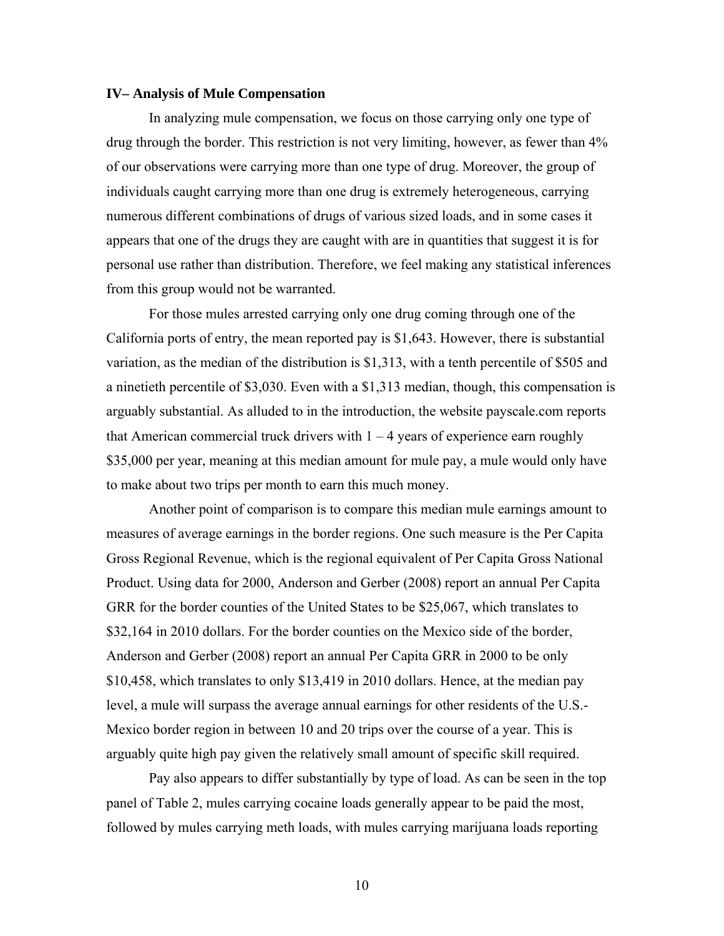#### **IV– Analysis of Mule Compensation**

In analyzing mule compensation, we focus on those carrying only one type of drug through the border. This restriction is not very limiting, however, as fewer than 4% of our observations were carrying more than one type of drug. Moreover, the group of individuals caught carrying more than one drug is extremely heterogeneous, carrying numerous different combinations of drugs of various sized loads, and in some cases it appears that one of the drugs they are caught with are in quantities that suggest it is for personal use rather than distribution. Therefore, we feel making any statistical inferences from this group would not be warranted.

For those mules arrested carrying only one drug coming through one of the California ports of entry, the mean reported pay is \$1,643. However, there is substantial variation, as the median of the distribution is \$1,313, with a tenth percentile of \$505 and a ninetieth percentile of \$3,030. Even with a \$1,313 median, though, this compensation is arguably substantial. As alluded to in the introduction, the website payscale.com reports that American commercial truck drivers with  $1 - 4$  years of experience earn roughly \$35,000 per year, meaning at this median amount for mule pay, a mule would only have to make about two trips per month to earn this much money.

 Another point of comparison is to compare this median mule earnings amount to measures of average earnings in the border regions. One such measure is the Per Capita Gross Regional Revenue, which is the regional equivalent of Per Capita Gross National Product. Using data for 2000, Anderson and Gerber (2008) report an annual Per Capita GRR for the border counties of the United States to be \$25,067, which translates to \$32,164 in 2010 dollars. For the border counties on the Mexico side of the border, Anderson and Gerber (2008) report an annual Per Capita GRR in 2000 to be only \$10,458, which translates to only \$13,419 in 2010 dollars. Hence, at the median pay level, a mule will surpass the average annual earnings for other residents of the U.S.- Mexico border region in between 10 and 20 trips over the course of a year. This is arguably quite high pay given the relatively small amount of specific skill required.

 Pay also appears to differ substantially by type of load. As can be seen in the top panel of Table 2, mules carrying cocaine loads generally appear to be paid the most, followed by mules carrying meth loads, with mules carrying marijuana loads reporting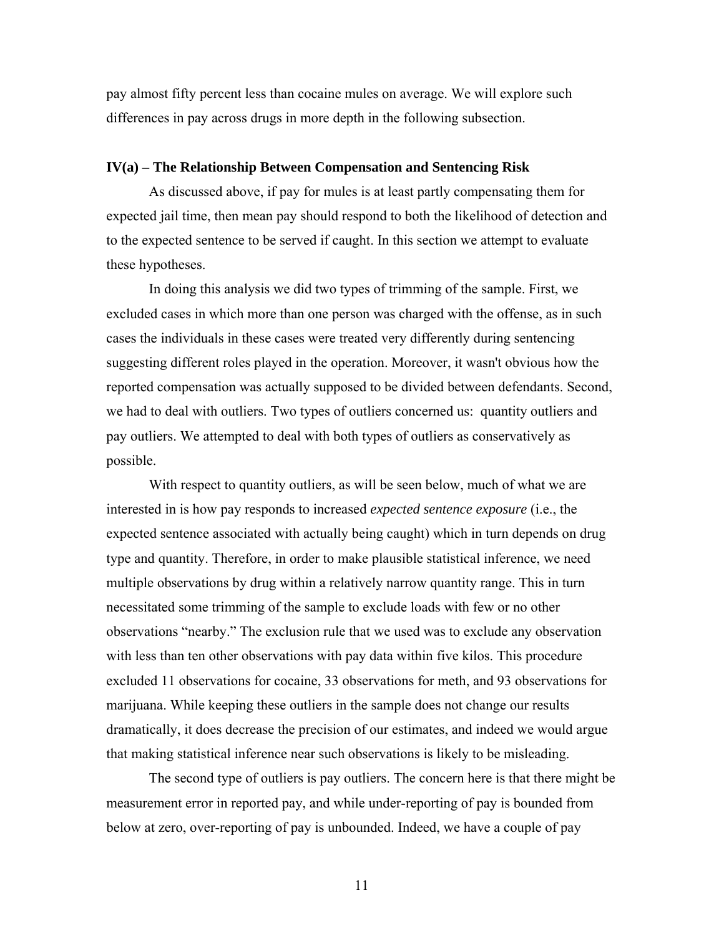pay almost fifty percent less than cocaine mules on average. We will explore such differences in pay across drugs in more depth in the following subsection.

#### **IV(a) – The Relationship Between Compensation and Sentencing Risk**

As discussed above, if pay for mules is at least partly compensating them for expected jail time, then mean pay should respond to both the likelihood of detection and to the expected sentence to be served if caught. In this section we attempt to evaluate these hypotheses.

In doing this analysis we did two types of trimming of the sample. First, we excluded cases in which more than one person was charged with the offense, as in such cases the individuals in these cases were treated very differently during sentencing suggesting different roles played in the operation. Moreover, it wasn't obvious how the reported compensation was actually supposed to be divided between defendants. Second, we had to deal with outliers. Two types of outliers concerned us: quantity outliers and pay outliers. We attempted to deal with both types of outliers as conservatively as possible.

With respect to quantity outliers, as will be seen below, much of what we are interested in is how pay responds to increased *expected sentence exposure* (i.e., the expected sentence associated with actually being caught) which in turn depends on drug type and quantity. Therefore, in order to make plausible statistical inference, we need multiple observations by drug within a relatively narrow quantity range. This in turn necessitated some trimming of the sample to exclude loads with few or no other observations "nearby." The exclusion rule that we used was to exclude any observation with less than ten other observations with pay data within five kilos. This procedure excluded 11 observations for cocaine, 33 observations for meth, and 93 observations for marijuana. While keeping these outliers in the sample does not change our results dramatically, it does decrease the precision of our estimates, and indeed we would argue that making statistical inference near such observations is likely to be misleading.

The second type of outliers is pay outliers. The concern here is that there might be measurement error in reported pay, and while under-reporting of pay is bounded from below at zero, over-reporting of pay is unbounded. Indeed, we have a couple of pay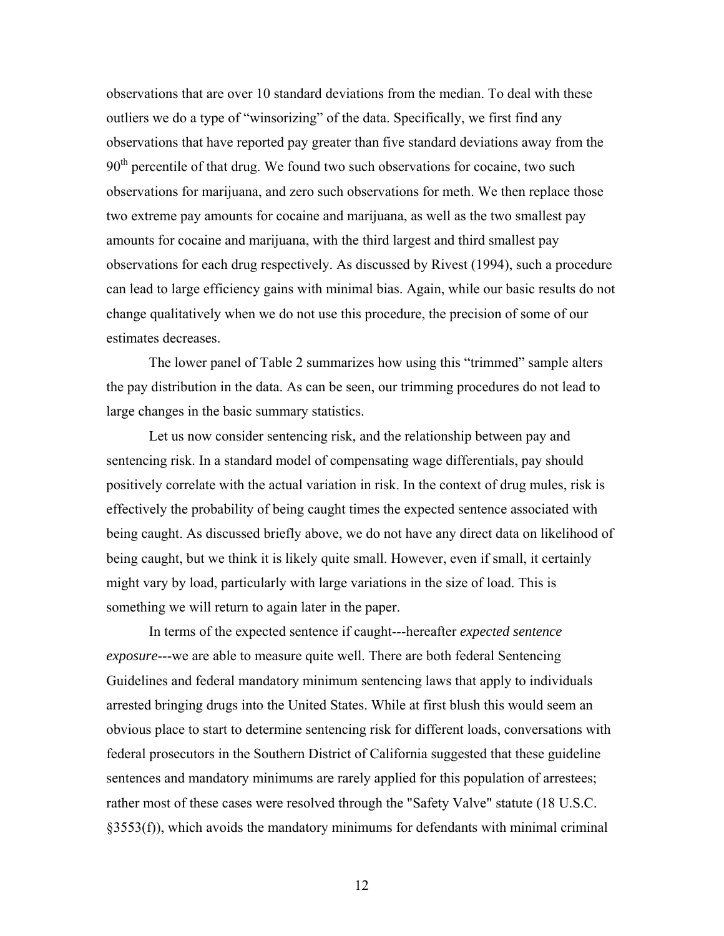observations that are over 10 standard deviations from the median. To deal with these outliers we do a type of "winsorizing" of the data. Specifically, we first find any observations that have reported pay greater than five standard deviations away from the  $90<sup>th</sup>$  percentile of that drug. We found two such observations for cocaine, two such observations for marijuana, and zero such observations for meth. We then replace those two extreme pay amounts for cocaine and marijuana, as well as the two smallest pay amounts for cocaine and marijuana, with the third largest and third smallest pay observations for each drug respectively. As discussed by Rivest (1994), such a procedure can lead to large efficiency gains with minimal bias. Again, while our basic results do not change qualitatively when we do not use this procedure, the precision of some of our estimates decreases.

The lower panel of Table 2 summarizes how using this "trimmed" sample alters the pay distribution in the data. As can be seen, our trimming procedures do not lead to large changes in the basic summary statistics.

Let us now consider sentencing risk, and the relationship between pay and sentencing risk. In a standard model of compensating wage differentials, pay should positively correlate with the actual variation in risk. In the context of drug mules, risk is effectively the probability of being caught times the expected sentence associated with being caught. As discussed briefly above, we do not have any direct data on likelihood of being caught, but we think it is likely quite small. However, even if small, it certainly might vary by load, particularly with large variations in the size of load. This is something we will return to again later in the paper.

In terms of the expected sentence if caught---hereafter *expected sentence exposure*---we are able to measure quite well. There are both federal Sentencing Guidelines and federal mandatory minimum sentencing laws that apply to individuals arrested bringing drugs into the United States. While at first blush this would seem an obvious place to start to determine sentencing risk for different loads, conversations with federal prosecutors in the Southern District of California suggested that these guideline sentences and mandatory minimums are rarely applied for this population of arrestees; rather most of these cases were resolved through the "Safety Valve" statute (18 U.S.C. §3553(f)), which avoids the mandatory minimums for defendants with minimal criminal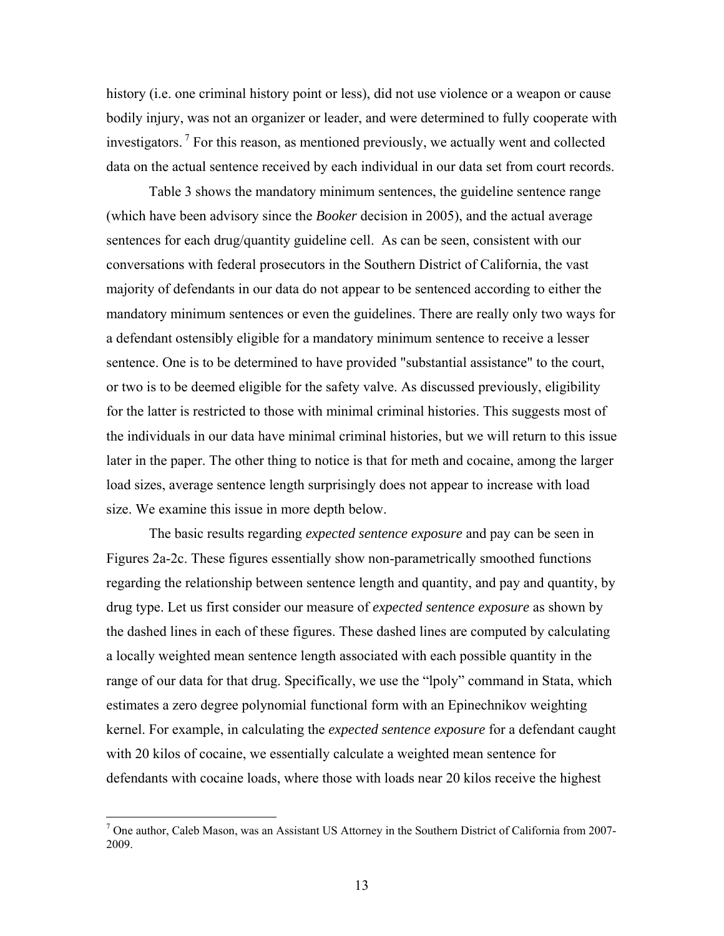history (i.e. one criminal history point or less), did not use violence or a weapon or cause bodily injury, was not an organizer or leader, and were determined to fully cooperate with investigators. 7 For this reason, as mentioned previously, we actually went and collected data on the actual sentence received by each individual in our data set from court records.

Table 3 shows the mandatory minimum sentences, the guideline sentence range (which have been advisory since the *Booker* decision in 2005), and the actual average sentences for each drug/quantity guideline cell. As can be seen, consistent with our conversations with federal prosecutors in the Southern District of California, the vast majority of defendants in our data do not appear to be sentenced according to either the mandatory minimum sentences or even the guidelines. There are really only two ways for a defendant ostensibly eligible for a mandatory minimum sentence to receive a lesser sentence. One is to be determined to have provided "substantial assistance" to the court, or two is to be deemed eligible for the safety valve. As discussed previously, eligibility for the latter is restricted to those with minimal criminal histories. This suggests most of the individuals in our data have minimal criminal histories, but we will return to this issue later in the paper. The other thing to notice is that for meth and cocaine, among the larger load sizes, average sentence length surprisingly does not appear to increase with load size. We examine this issue in more depth below.

The basic results regarding *expected sentence exposure* and pay can be seen in Figures 2a-2c. These figures essentially show non-parametrically smoothed functions regarding the relationship between sentence length and quantity, and pay and quantity, by drug type. Let us first consider our measure of *expected sentence exposure* as shown by the dashed lines in each of these figures. These dashed lines are computed by calculating a locally weighted mean sentence length associated with each possible quantity in the range of our data for that drug. Specifically, we use the "lpoly" command in Stata, which estimates a zero degree polynomial functional form with an Epinechnikov weighting kernel. For example, in calculating the *expected sentence exposure* for a defendant caught with 20 kilos of cocaine, we essentially calculate a weighted mean sentence for defendants with cocaine loads, where those with loads near 20 kilos receive the highest

<sup>&</sup>lt;sup>7</sup> One author, Caleb Mason, was an Assistant US Attorney in the Southern District of California from 2007-2009.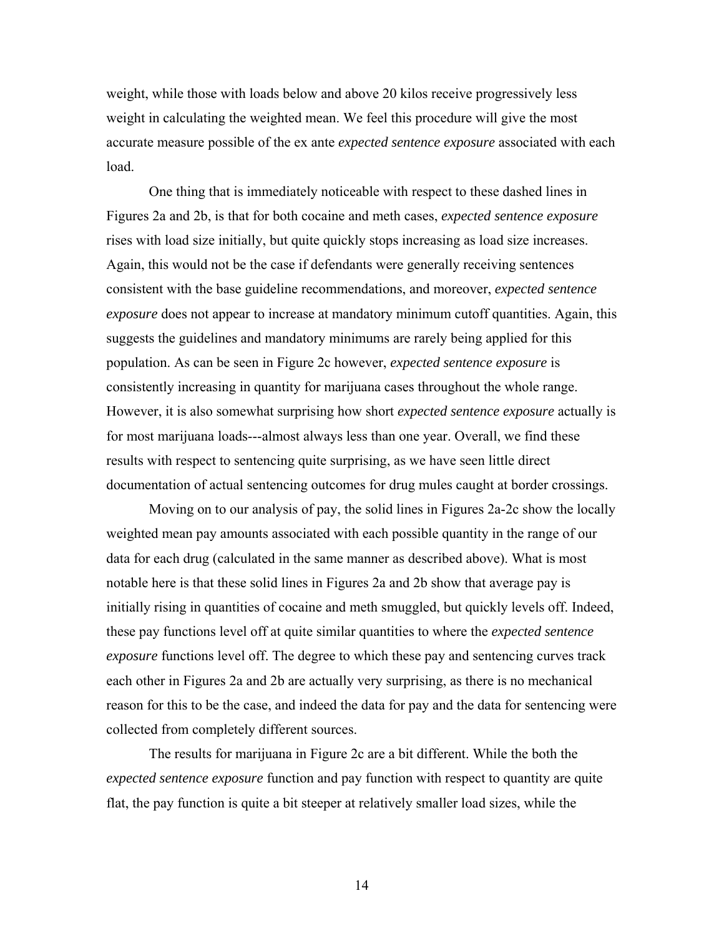weight, while those with loads below and above 20 kilos receive progressively less weight in calculating the weighted mean. We feel this procedure will give the most accurate measure possible of the ex ante *expected sentence exposure* associated with each load.

One thing that is immediately noticeable with respect to these dashed lines in Figures 2a and 2b, is that for both cocaine and meth cases, *expected sentence exposure* rises with load size initially, but quite quickly stops increasing as load size increases. Again, this would not be the case if defendants were generally receiving sentences consistent with the base guideline recommendations, and moreover, *expected sentence exposure* does not appear to increase at mandatory minimum cutoff quantities. Again, this suggests the guidelines and mandatory minimums are rarely being applied for this population. As can be seen in Figure 2c however, *expected sentence exposure* is consistently increasing in quantity for marijuana cases throughout the whole range. However, it is also somewhat surprising how short *expected sentence exposure* actually is for most marijuana loads---almost always less than one year. Overall, we find these results with respect to sentencing quite surprising, as we have seen little direct documentation of actual sentencing outcomes for drug mules caught at border crossings.

Moving on to our analysis of pay, the solid lines in Figures 2a-2c show the locally weighted mean pay amounts associated with each possible quantity in the range of our data for each drug (calculated in the same manner as described above). What is most notable here is that these solid lines in Figures 2a and 2b show that average pay is initially rising in quantities of cocaine and meth smuggled, but quickly levels off. Indeed, these pay functions level off at quite similar quantities to where the *expected sentence exposure* functions level off. The degree to which these pay and sentencing curves track each other in Figures 2a and 2b are actually very surprising, as there is no mechanical reason for this to be the case, and indeed the data for pay and the data for sentencing were collected from completely different sources.

The results for marijuana in Figure 2c are a bit different. While the both the *expected sentence exposure* function and pay function with respect to quantity are quite flat, the pay function is quite a bit steeper at relatively smaller load sizes, while the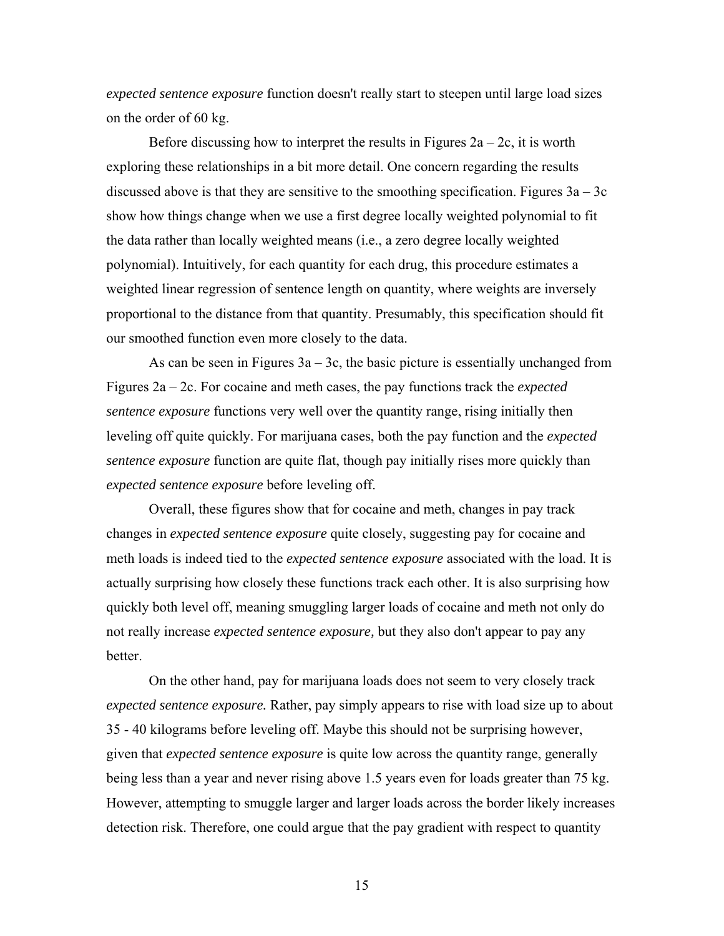*expected sentence exposure* function doesn't really start to steepen until large load sizes on the order of 60 kg.

Before discussing how to interpret the results in Figures  $2a - 2c$ , it is worth exploring these relationships in a bit more detail. One concern regarding the results discussed above is that they are sensitive to the smoothing specification. Figures  $3a - 3c$ show how things change when we use a first degree locally weighted polynomial to fit the data rather than locally weighted means (i.e., a zero degree locally weighted polynomial). Intuitively, for each quantity for each drug, this procedure estimates a weighted linear regression of sentence length on quantity, where weights are inversely proportional to the distance from that quantity. Presumably, this specification should fit our smoothed function even more closely to the data.

As can be seen in Figures  $3a - 3c$ , the basic picture is essentially unchanged from Figures 2a – 2c. For cocaine and meth cases, the pay functions track the *expected sentence exposure* functions very well over the quantity range, rising initially then leveling off quite quickly. For marijuana cases, both the pay function and the *expected sentence exposure* function are quite flat, though pay initially rises more quickly than *expected sentence exposure* before leveling off.

Overall, these figures show that for cocaine and meth, changes in pay track changes in *expected sentence exposure* quite closely, suggesting pay for cocaine and meth loads is indeed tied to the *expected sentence exposure* associated with the load. It is actually surprising how closely these functions track each other. It is also surprising how quickly both level off, meaning smuggling larger loads of cocaine and meth not only do not really increase *expected sentence exposure,* but they also don't appear to pay any better.

On the other hand, pay for marijuana loads does not seem to very closely track *expected sentence exposure.* Rather, pay simply appears to rise with load size up to about 35 - 40 kilograms before leveling off. Maybe this should not be surprising however, given that *expected sentence exposure* is quite low across the quantity range, generally being less than a year and never rising above 1.5 years even for loads greater than 75 kg. However, attempting to smuggle larger and larger loads across the border likely increases detection risk. Therefore, one could argue that the pay gradient with respect to quantity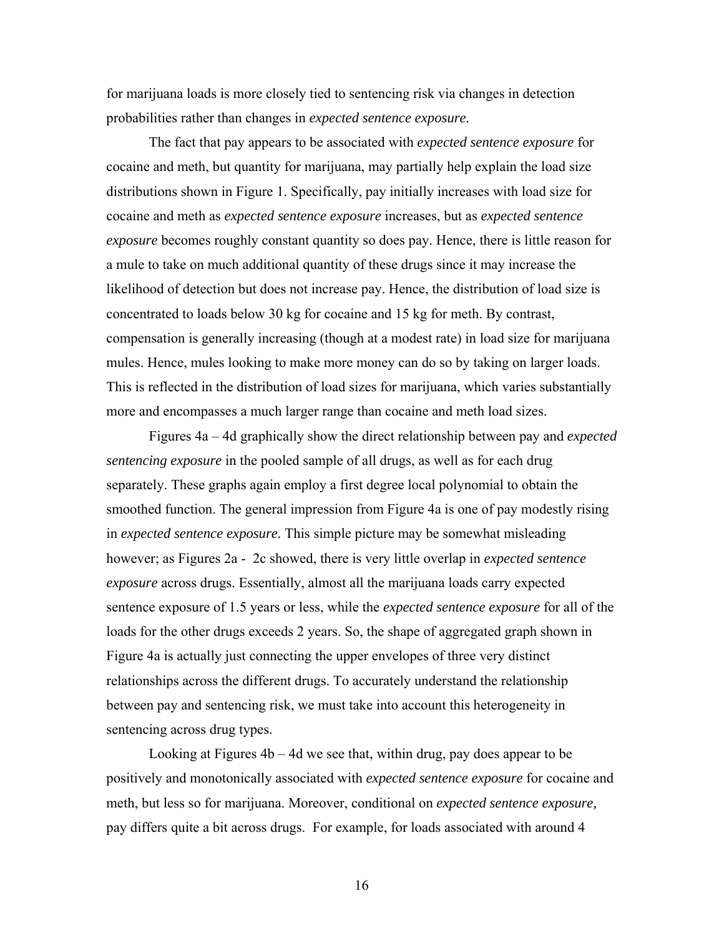for marijuana loads is more closely tied to sentencing risk via changes in detection probabilities rather than changes in *expected sentence exposure.* 

The fact that pay appears to be associated with *expected sentence exposure* for cocaine and meth, but quantity for marijuana, may partially help explain the load size distributions shown in Figure 1. Specifically, pay initially increases with load size for cocaine and meth as *expected sentence exposure* increases, but as *expected sentence exposure* becomes roughly constant quantity so does pay. Hence, there is little reason for a mule to take on much additional quantity of these drugs since it may increase the likelihood of detection but does not increase pay. Hence, the distribution of load size is concentrated to loads below 30 kg for cocaine and 15 kg for meth. By contrast, compensation is generally increasing (though at a modest rate) in load size for marijuana mules. Hence, mules looking to make more money can do so by taking on larger loads. This is reflected in the distribution of load sizes for marijuana, which varies substantially more and encompasses a much larger range than cocaine and meth load sizes.

Figures 4a – 4d graphically show the direct relationship between pay and *expected sentencing exposure* in the pooled sample of all drugs, as well as for each drug separately. These graphs again employ a first degree local polynomial to obtain the smoothed function. The general impression from Figure 4a is one of pay modestly rising in *expected sentence exposure.* This simple picture may be somewhat misleading however; as Figures 2a - 2c showed, there is very little overlap in *expected sentence exposure* across drugs. Essentially, almost all the marijuana loads carry expected sentence exposure of 1.5 years or less, while the *expected sentence exposure* for all of the loads for the other drugs exceeds 2 years. So, the shape of aggregated graph shown in Figure 4a is actually just connecting the upper envelopes of three very distinct relationships across the different drugs. To accurately understand the relationship between pay and sentencing risk, we must take into account this heterogeneity in sentencing across drug types.

Looking at Figures 4b – 4d we see that, within drug, pay does appear to be positively and monotonically associated with *expected sentence exposure* for cocaine and meth, but less so for marijuana. Moreover, conditional on *expected sentence exposure,*  pay differs quite a bit across drugs. For example, for loads associated with around 4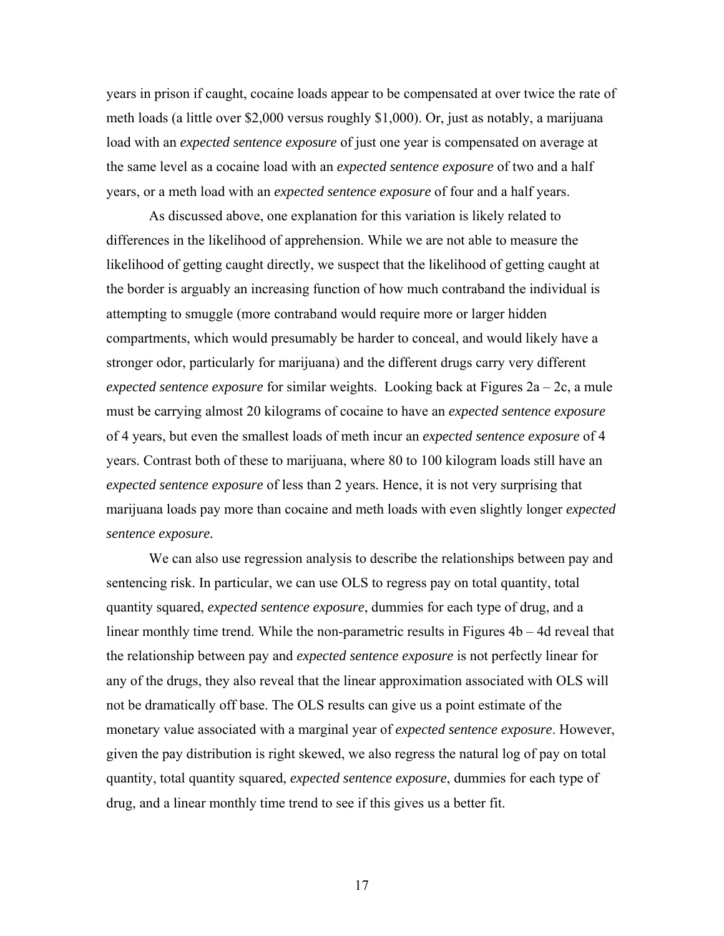years in prison if caught, cocaine loads appear to be compensated at over twice the rate of meth loads (a little over \$2,000 versus roughly \$1,000). Or, just as notably, a marijuana load with an *expected sentence exposure* of just one year is compensated on average at the same level as a cocaine load with an *expected sentence exposure* of two and a half years, or a meth load with an *expected sentence exposure* of four and a half years.

As discussed above, one explanation for this variation is likely related to differences in the likelihood of apprehension. While we are not able to measure the likelihood of getting caught directly, we suspect that the likelihood of getting caught at the border is arguably an increasing function of how much contraband the individual is attempting to smuggle (more contraband would require more or larger hidden compartments, which would presumably be harder to conceal, and would likely have a stronger odor, particularly for marijuana) and the different drugs carry very different *expected sentence exposure* for similar weights. Looking back at Figures 2a – 2c, a mule must be carrying almost 20 kilograms of cocaine to have an *expected sentence exposure*  of 4 years, but even the smallest loads of meth incur an *expected sentence exposure* of 4 years. Contrast both of these to marijuana, where 80 to 100 kilogram loads still have an *expected sentence exposure* of less than 2 years. Hence, it is not very surprising that marijuana loads pay more than cocaine and meth loads with even slightly longer *expected sentence exposure.*

We can also use regression analysis to describe the relationships between pay and sentencing risk. In particular, we can use OLS to regress pay on total quantity, total quantity squared, *expected sentence exposure*, dummies for each type of drug, and a linear monthly time trend. While the non-parametric results in Figures 4b – 4d reveal that the relationship between pay and *expected sentence exposure* is not perfectly linear for any of the drugs, they also reveal that the linear approximation associated with OLS will not be dramatically off base. The OLS results can give us a point estimate of the monetary value associated with a marginal year of *expected sentence exposure*. However, given the pay distribution is right skewed, we also regress the natural log of pay on total quantity, total quantity squared, *expected sentence exposure*, dummies for each type of drug, and a linear monthly time trend to see if this gives us a better fit.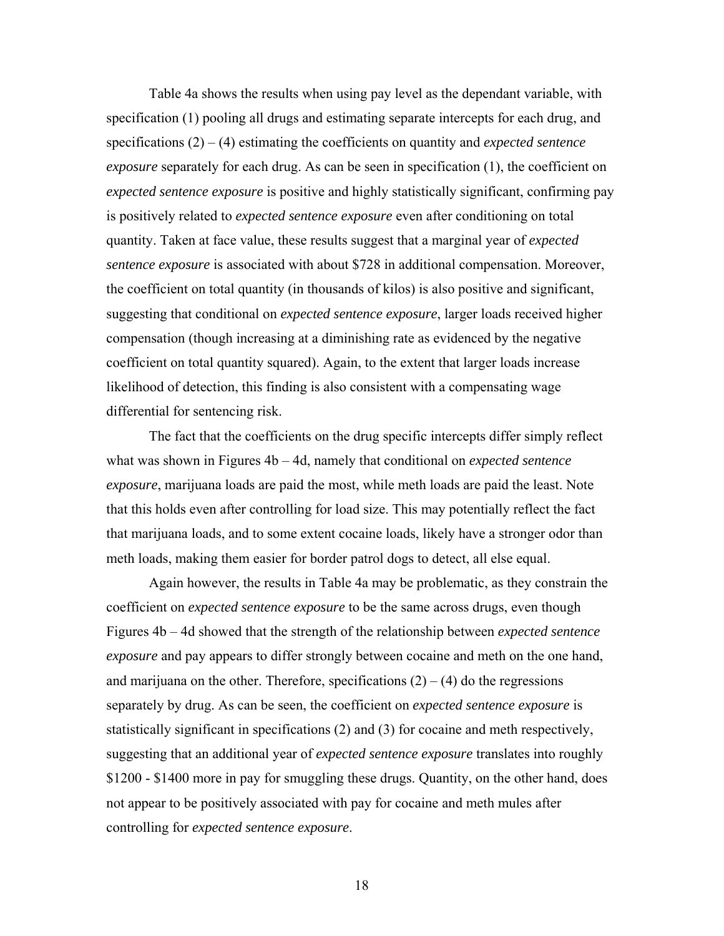Table 4a shows the results when using pay level as the dependant variable, with specification (1) pooling all drugs and estimating separate intercepts for each drug, and specifications (2) – (4) estimating the coefficients on quantity and *expected sentence exposure* separately for each drug. As can be seen in specification (1), the coefficient on *expected sentence exposure* is positive and highly statistically significant, confirming pay is positively related to *expected sentence exposure* even after conditioning on total quantity. Taken at face value, these results suggest that a marginal year of *expected sentence exposure* is associated with about \$728 in additional compensation. Moreover, the coefficient on total quantity (in thousands of kilos) is also positive and significant, suggesting that conditional on *expected sentence exposure*, larger loads received higher compensation (though increasing at a diminishing rate as evidenced by the negative coefficient on total quantity squared). Again, to the extent that larger loads increase likelihood of detection, this finding is also consistent with a compensating wage differential for sentencing risk.

The fact that the coefficients on the drug specific intercepts differ simply reflect what was shown in Figures 4b – 4d, namely that conditional on *expected sentence exposure*, marijuana loads are paid the most, while meth loads are paid the least. Note that this holds even after controlling for load size. This may potentially reflect the fact that marijuana loads, and to some extent cocaine loads, likely have a stronger odor than meth loads, making them easier for border patrol dogs to detect, all else equal.

Again however, the results in Table 4a may be problematic, as they constrain the coefficient on *expected sentence exposure* to be the same across drugs, even though Figures 4b – 4d showed that the strength of the relationship between *expected sentence exposure* and pay appears to differ strongly between cocaine and meth on the one hand, and marijuana on the other. Therefore, specifications  $(2) - (4)$  do the regressions separately by drug. As can be seen, the coefficient on *expected sentence exposure* is statistically significant in specifications (2) and (3) for cocaine and meth respectively, suggesting that an additional year of *expected sentence exposure* translates into roughly \$1200 - \$1400 more in pay for smuggling these drugs. Quantity, on the other hand, does not appear to be positively associated with pay for cocaine and meth mules after controlling for *expected sentence exposure*.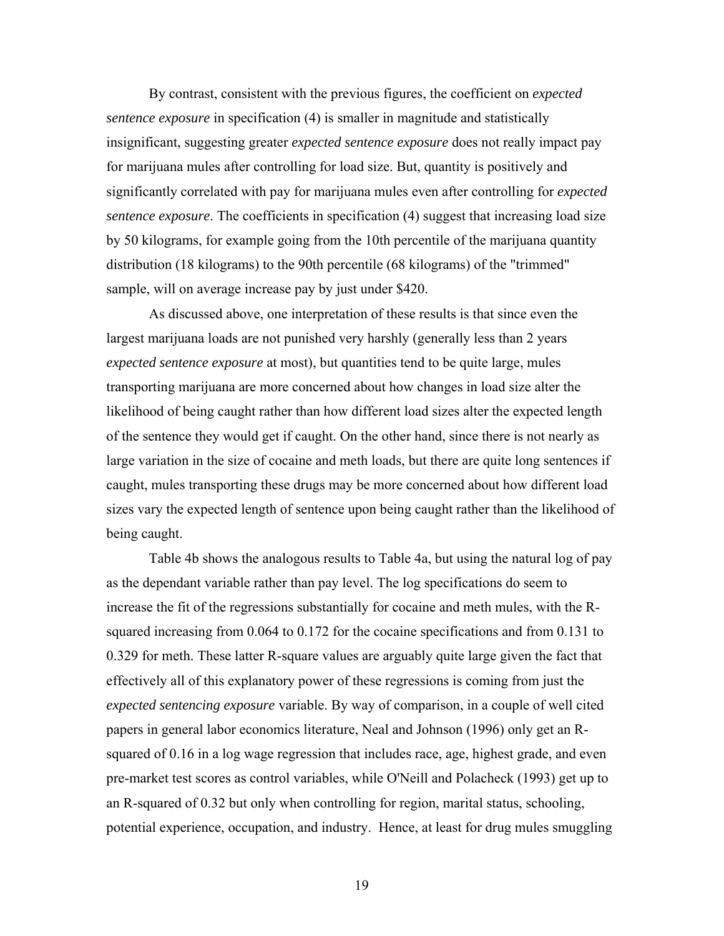By contrast, consistent with the previous figures, the coefficient on *expected sentence exposure* in specification (4) is smaller in magnitude and statistically insignificant, suggesting greater *expected sentence exposure* does not really impact pay for marijuana mules after controlling for load size. But, quantity is positively and significantly correlated with pay for marijuana mules even after controlling for *expected sentence exposure*. The coefficients in specification (4) suggest that increasing load size by 50 kilograms, for example going from the 10th percentile of the marijuana quantity distribution (18 kilograms) to the 90th percentile (68 kilograms) of the "trimmed" sample, will on average increase pay by just under \$420.

As discussed above, one interpretation of these results is that since even the largest marijuana loads are not punished very harshly (generally less than 2 years *expected sentence exposure* at most), but quantities tend to be quite large, mules transporting marijuana are more concerned about how changes in load size alter the likelihood of being caught rather than how different load sizes alter the expected length of the sentence they would get if caught. On the other hand, since there is not nearly as large variation in the size of cocaine and meth loads, but there are quite long sentences if caught, mules transporting these drugs may be more concerned about how different load sizes vary the expected length of sentence upon being caught rather than the likelihood of being caught.

Table 4b shows the analogous results to Table 4a, but using the natural log of pay as the dependant variable rather than pay level. The log specifications do seem to increase the fit of the regressions substantially for cocaine and meth mules, with the Rsquared increasing from 0.064 to 0.172 for the cocaine specifications and from 0.131 to 0.329 for meth. These latter R-square values are arguably quite large given the fact that effectively all of this explanatory power of these regressions is coming from just the *expected sentencing exposure* variable. By way of comparison, in a couple of well cited papers in general labor economics literature, Neal and Johnson (1996) only get an Rsquared of 0.16 in a log wage regression that includes race, age, highest grade, and even pre-market test scores as control variables, while O'Neill and Polacheck (1993) get up to an R-squared of 0.32 but only when controlling for region, marital status, schooling, potential experience, occupation, and industry. Hence, at least for drug mules smuggling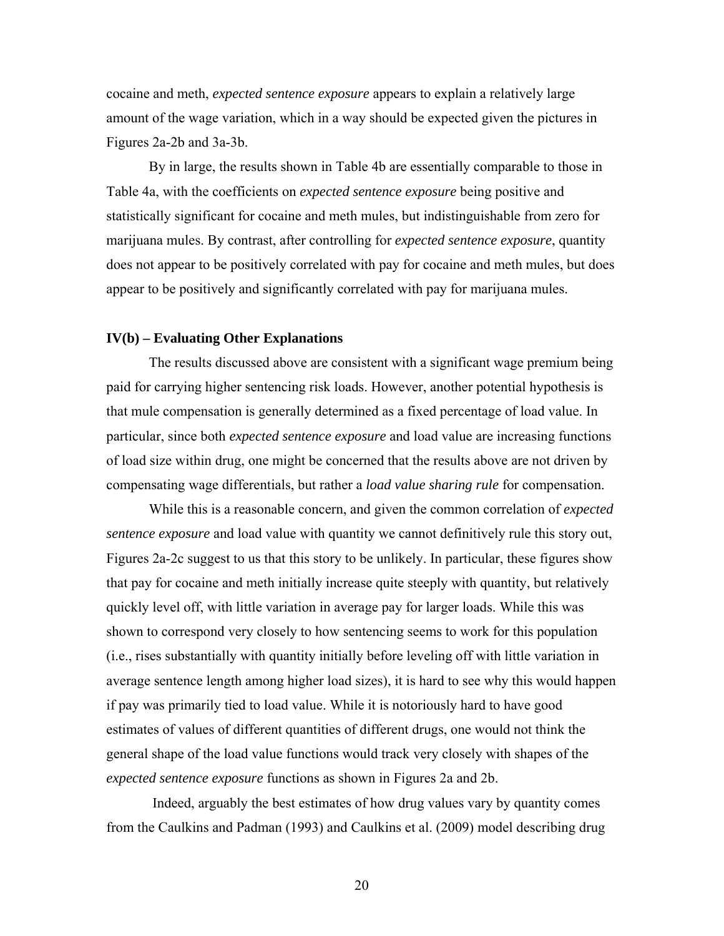cocaine and meth, *expected sentence exposure* appears to explain a relatively large amount of the wage variation, which in a way should be expected given the pictures in Figures 2a-2b and 3a-3b.

By in large, the results shown in Table 4b are essentially comparable to those in Table 4a, with the coefficients on *expected sentence exposure* being positive and statistically significant for cocaine and meth mules, but indistinguishable from zero for marijuana mules. By contrast, after controlling for *expected sentence exposure*, quantity does not appear to be positively correlated with pay for cocaine and meth mules, but does appear to be positively and significantly correlated with pay for marijuana mules.

### **IV(b) – Evaluating Other Explanations**

The results discussed above are consistent with a significant wage premium being paid for carrying higher sentencing risk loads. However, another potential hypothesis is that mule compensation is generally determined as a fixed percentage of load value. In particular, since both *expected sentence exposure* and load value are increasing functions of load size within drug, one might be concerned that the results above are not driven by compensating wage differentials, but rather a *load value sharing rule* for compensation.

While this is a reasonable concern, and given the common correlation of *expected sentence exposure* and load value with quantity we cannot definitively rule this story out, Figures 2a-2c suggest to us that this story to be unlikely. In particular, these figures show that pay for cocaine and meth initially increase quite steeply with quantity, but relatively quickly level off, with little variation in average pay for larger loads. While this was shown to correspond very closely to how sentencing seems to work for this population (i.e., rises substantially with quantity initially before leveling off with little variation in average sentence length among higher load sizes), it is hard to see why this would happen if pay was primarily tied to load value. While it is notoriously hard to have good estimates of values of different quantities of different drugs, one would not think the general shape of the load value functions would track very closely with shapes of the *expected sentence exposure* functions as shown in Figures 2a and 2b.

 Indeed, arguably the best estimates of how drug values vary by quantity comes from the Caulkins and Padman (1993) and Caulkins et al. (2009) model describing drug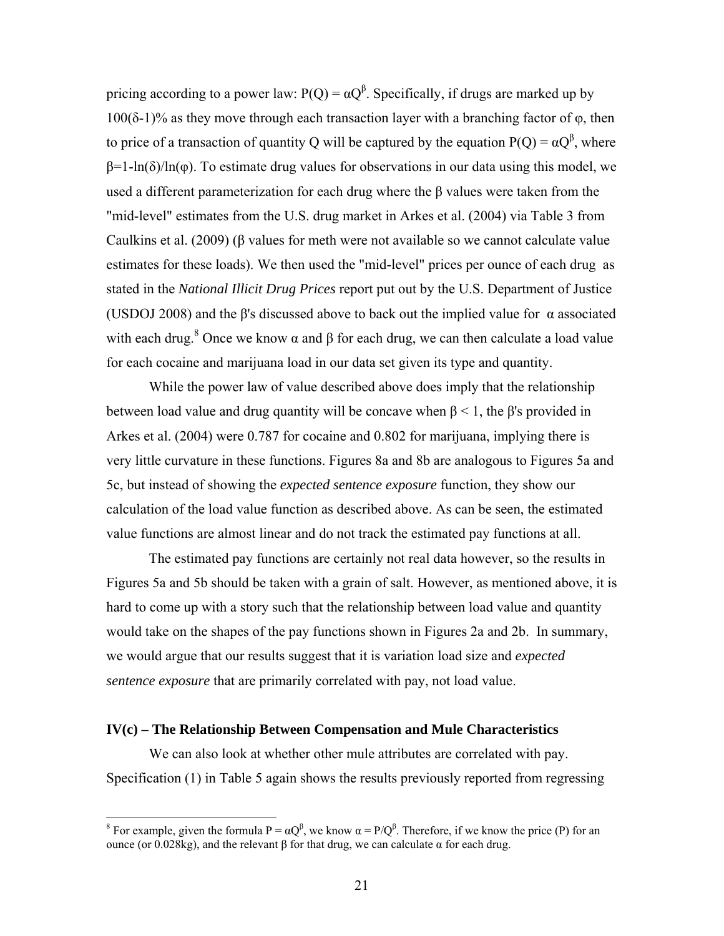pricing according to a power law:  $P(Q) = \alpha Q^{\beta}$ . Specifically, if drugs are marked up by  $100(δ-1)%$  as they move through each transaction layer with a branching factor of  $φ$ , then to price of a transaction of quantity Q will be captured by the equation  $P(Q) = \alpha Q^{\beta}$ , where  $\beta=1-\ln(\delta)/\ln(\varphi)$ . To estimate drug values for observations in our data using this model, we used a different parameterization for each drug where the  $\beta$  values were taken from the "mid-level" estimates from the U.S. drug market in Arkes et al. (2004) via Table 3 from Caulkins et al. (2009) (β values for meth were not available so we cannot calculate value estimates for these loads). We then used the "mid-level" prices per ounce of each drug as stated in the *National Illicit Drug Prices* report put out by the U.S. Department of Justice (USDOJ 2008) and the  $\beta$ 's discussed above to back out the implied value for  $\alpha$  associated with each drug.<sup>8</sup> Once we know  $\alpha$  and  $\beta$  for each drug, we can then calculate a load value for each cocaine and marijuana load in our data set given its type and quantity.

While the power law of value described above does imply that the relationship between load value and drug quantity will be concave when  $\beta$  < 1, the  $\beta$ 's provided in Arkes et al. (2004) were 0.787 for cocaine and 0.802 for marijuana, implying there is very little curvature in these functions. Figures 8a and 8b are analogous to Figures 5a and 5c, but instead of showing the *expected sentence exposure* function, they show our calculation of the load value function as described above. As can be seen, the estimated value functions are almost linear and do not track the estimated pay functions at all.

The estimated pay functions are certainly not real data however, so the results in Figures 5a and 5b should be taken with a grain of salt. However, as mentioned above, it is hard to come up with a story such that the relationship between load value and quantity would take on the shapes of the pay functions shown in Figures 2a and 2b. In summary, we would argue that our results suggest that it is variation load size and *expected sentence exposure* that are primarily correlated with pay, not load value.

#### **IV(c) – The Relationship Between Compensation and Mule Characteristics**

We can also look at whether other mule attributes are correlated with pay. Specification (1) in Table 5 again shows the results previously reported from regressing

<sup>&</sup>lt;sup>8</sup> For example, given the formula  $P = \alpha Q^{\beta}$ , we know  $\alpha = P/Q^{\beta}$ . Therefore, if we know the price (P) for an ounce (or  $0.028$ kg), and the relevant β for that drug, we can calculate α for each drug.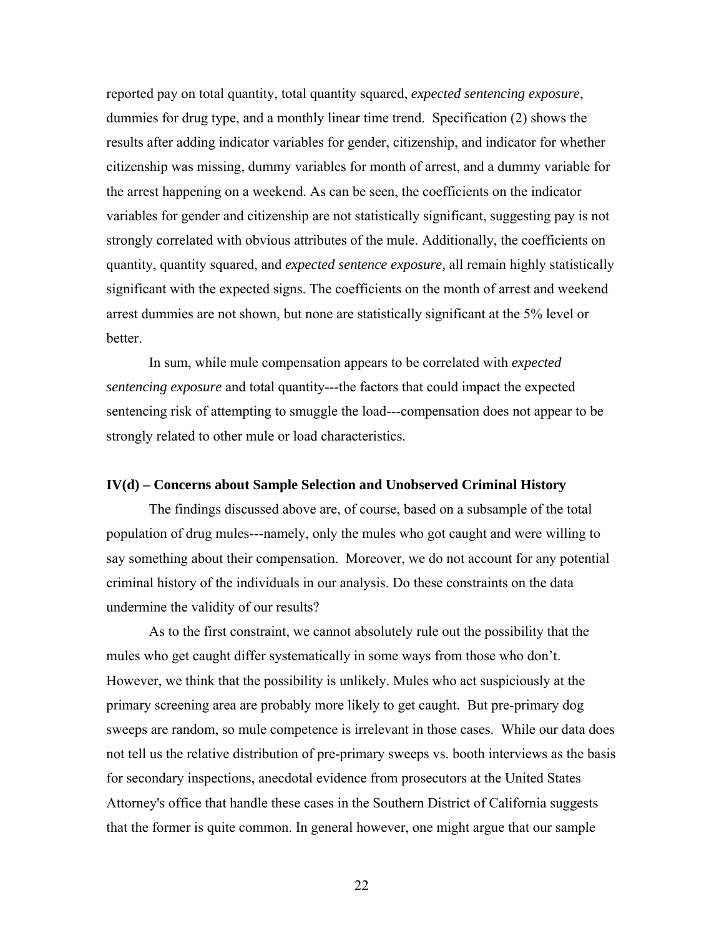reported pay on total quantity, total quantity squared, *expected sentencing exposure*, dummies for drug type, and a monthly linear time trend. Specification (2) shows the results after adding indicator variables for gender, citizenship, and indicator for whether citizenship was missing, dummy variables for month of arrest, and a dummy variable for the arrest happening on a weekend. As can be seen, the coefficients on the indicator variables for gender and citizenship are not statistically significant, suggesting pay is not strongly correlated with obvious attributes of the mule. Additionally, the coefficients on quantity, quantity squared, and *expected sentence exposure,* all remain highly statistically significant with the expected signs. The coefficients on the month of arrest and weekend arrest dummies are not shown, but none are statistically significant at the 5% level or better.

In sum, while mule compensation appears to be correlated with *expected sentencing exposure* and total quantity---the factors that could impact the expected sentencing risk of attempting to smuggle the load---compensation does not appear to be strongly related to other mule or load characteristics.

#### **IV(d) – Concerns about Sample Selection and Unobserved Criminal History**

The findings discussed above are, of course, based on a subsample of the total population of drug mules---namely, only the mules who got caught and were willing to say something about their compensation. Moreover, we do not account for any potential criminal history of the individuals in our analysis. Do these constraints on the data undermine the validity of our results?

As to the first constraint, we cannot absolutely rule out the possibility that the mules who get caught differ systematically in some ways from those who don't. However, we think that the possibility is unlikely. Mules who act suspiciously at the primary screening area are probably more likely to get caught. But pre-primary dog sweeps are random, so mule competence is irrelevant in those cases. While our data does not tell us the relative distribution of pre-primary sweeps vs. booth interviews as the basis for secondary inspections, anecdotal evidence from prosecutors at the United States Attorney's office that handle these cases in the Southern District of California suggests that the former is quite common. In general however, one might argue that our sample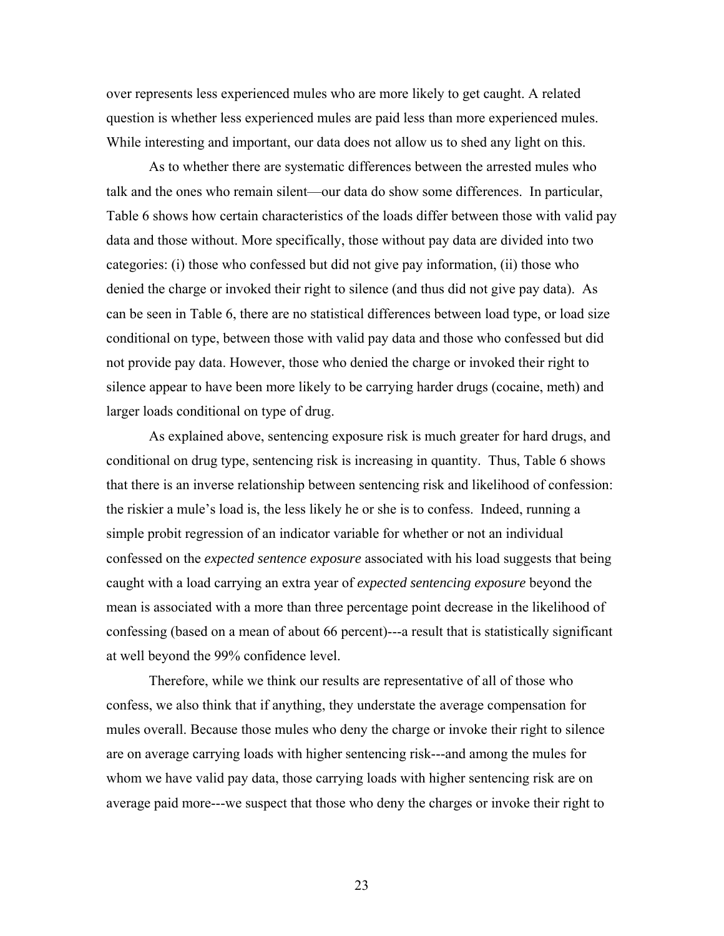over represents less experienced mules who are more likely to get caught. A related question is whether less experienced mules are paid less than more experienced mules. While interesting and important, our data does not allow us to shed any light on this.

As to whether there are systematic differences between the arrested mules who talk and the ones who remain silent—our data do show some differences. In particular, Table 6 shows how certain characteristics of the loads differ between those with valid pay data and those without. More specifically, those without pay data are divided into two categories: (i) those who confessed but did not give pay information, (ii) those who denied the charge or invoked their right to silence (and thus did not give pay data). As can be seen in Table 6, there are no statistical differences between load type, or load size conditional on type, between those with valid pay data and those who confessed but did not provide pay data. However, those who denied the charge or invoked their right to silence appear to have been more likely to be carrying harder drugs (cocaine, meth) and larger loads conditional on type of drug.

As explained above, sentencing exposure risk is much greater for hard drugs, and conditional on drug type, sentencing risk is increasing in quantity. Thus, Table 6 shows that there is an inverse relationship between sentencing risk and likelihood of confession: the riskier a mule's load is, the less likely he or she is to confess. Indeed, running a simple probit regression of an indicator variable for whether or not an individual confessed on the *expected sentence exposure* associated with his load suggests that being caught with a load carrying an extra year of *expected sentencing exposure* beyond the mean is associated with a more than three percentage point decrease in the likelihood of confessing (based on a mean of about 66 percent)---a result that is statistically significant at well beyond the 99% confidence level.

Therefore, while we think our results are representative of all of those who confess, we also think that if anything, they understate the average compensation for mules overall. Because those mules who deny the charge or invoke their right to silence are on average carrying loads with higher sentencing risk---and among the mules for whom we have valid pay data, those carrying loads with higher sentencing risk are on average paid more---we suspect that those who deny the charges or invoke their right to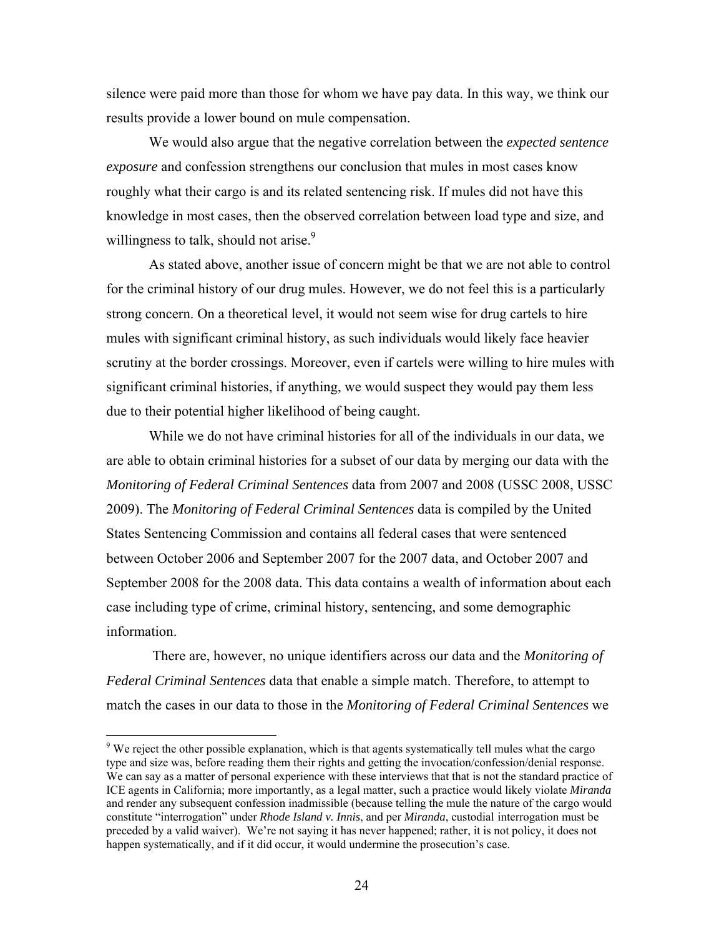silence were paid more than those for whom we have pay data. In this way, we think our results provide a lower bound on mule compensation.

We would also argue that the negative correlation between the *expected sentence exposure* and confession strengthens our conclusion that mules in most cases know roughly what their cargo is and its related sentencing risk. If mules did not have this knowledge in most cases, then the observed correlation between load type and size, and willingness to talk, should not arise. $9$ 

As stated above, another issue of concern might be that we are not able to control for the criminal history of our drug mules. However, we do not feel this is a particularly strong concern. On a theoretical level, it would not seem wise for drug cartels to hire mules with significant criminal history, as such individuals would likely face heavier scrutiny at the border crossings. Moreover, even if cartels were willing to hire mules with significant criminal histories, if anything, we would suspect they would pay them less due to their potential higher likelihood of being caught.

While we do not have criminal histories for all of the individuals in our data, we are able to obtain criminal histories for a subset of our data by merging our data with the *Monitoring of Federal Criminal Sentences* data from 2007 and 2008 (USSC 2008, USSC 2009). The *Monitoring of Federal Criminal Sentences* data is compiled by the United States Sentencing Commission and contains all federal cases that were sentenced between October 2006 and September 2007 for the 2007 data, and October 2007 and September 2008 for the 2008 data. This data contains a wealth of information about each case including type of crime, criminal history, sentencing, and some demographic information.

 There are, however, no unique identifiers across our data and the *Monitoring of Federal Criminal Sentences* data that enable a simple match. Therefore, to attempt to match the cases in our data to those in the *Monitoring of Federal Criminal Sentences* we

<sup>&</sup>lt;sup>9</sup> We reject the other possible explanation, which is that agents systematically tell mules what the cargo type and size was, before reading them their rights and getting the invocation/confession/denial response. We can say as a matter of personal experience with these interviews that that is not the standard practice of ICE agents in California; more importantly, as a legal matter, such a practice would likely violate *Miranda* and render any subsequent confession inadmissible (because telling the mule the nature of the cargo would constitute "interrogation" under *Rhode Island v. Innis*, and per *Miranda*, custodial interrogation must be preceded by a valid waiver). We're not saying it has never happened; rather, it is not policy, it does not happen systematically, and if it did occur, it would undermine the prosecution's case.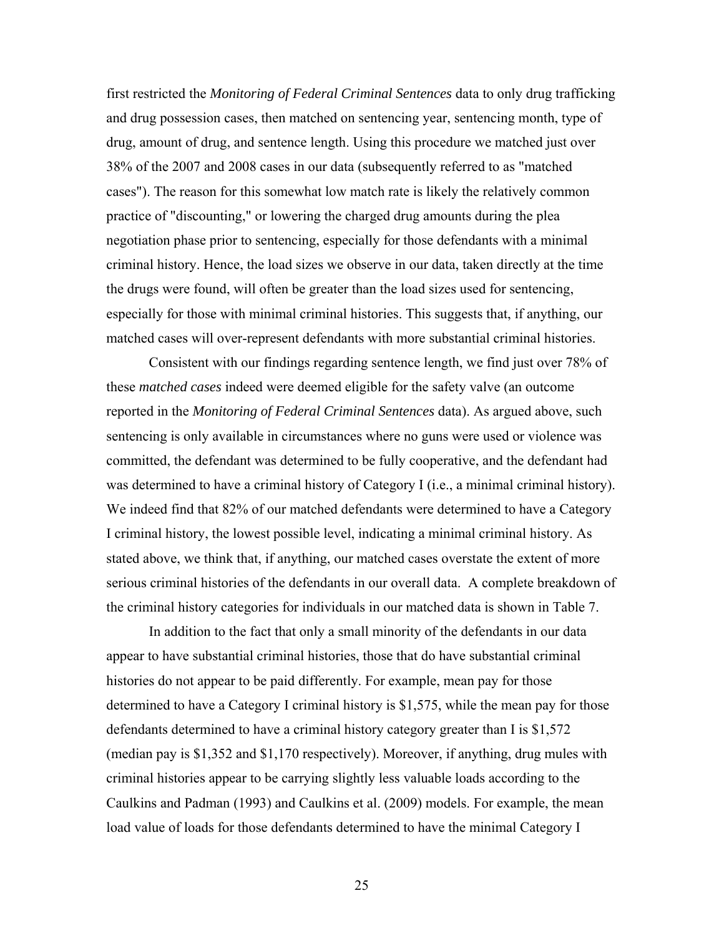first restricted the *Monitoring of Federal Criminal Sentences* data to only drug trafficking and drug possession cases, then matched on sentencing year, sentencing month, type of drug, amount of drug, and sentence length. Using this procedure we matched just over 38% of the 2007 and 2008 cases in our data (subsequently referred to as "matched cases"). The reason for this somewhat low match rate is likely the relatively common practice of "discounting," or lowering the charged drug amounts during the plea negotiation phase prior to sentencing, especially for those defendants with a minimal criminal history. Hence, the load sizes we observe in our data, taken directly at the time the drugs were found, will often be greater than the load sizes used for sentencing, especially for those with minimal criminal histories. This suggests that, if anything, our matched cases will over-represent defendants with more substantial criminal histories.

Consistent with our findings regarding sentence length, we find just over 78% of these *matched cases* indeed were deemed eligible for the safety valve (an outcome reported in the *Monitoring of Federal Criminal Sentences* data). As argued above, such sentencing is only available in circumstances where no guns were used or violence was committed, the defendant was determined to be fully cooperative, and the defendant had was determined to have a criminal history of Category I (i.e., a minimal criminal history). We indeed find that 82% of our matched defendants were determined to have a Category I criminal history, the lowest possible level, indicating a minimal criminal history. As stated above, we think that, if anything, our matched cases overstate the extent of more serious criminal histories of the defendants in our overall data. A complete breakdown of the criminal history categories for individuals in our matched data is shown in Table 7.

In addition to the fact that only a small minority of the defendants in our data appear to have substantial criminal histories, those that do have substantial criminal histories do not appear to be paid differently. For example, mean pay for those determined to have a Category I criminal history is \$1,575, while the mean pay for those defendants determined to have a criminal history category greater than I is \$1,572 (median pay is \$1,352 and \$1,170 respectively). Moreover, if anything, drug mules with criminal histories appear to be carrying slightly less valuable loads according to the Caulkins and Padman (1993) and Caulkins et al. (2009) models. For example, the mean load value of loads for those defendants determined to have the minimal Category I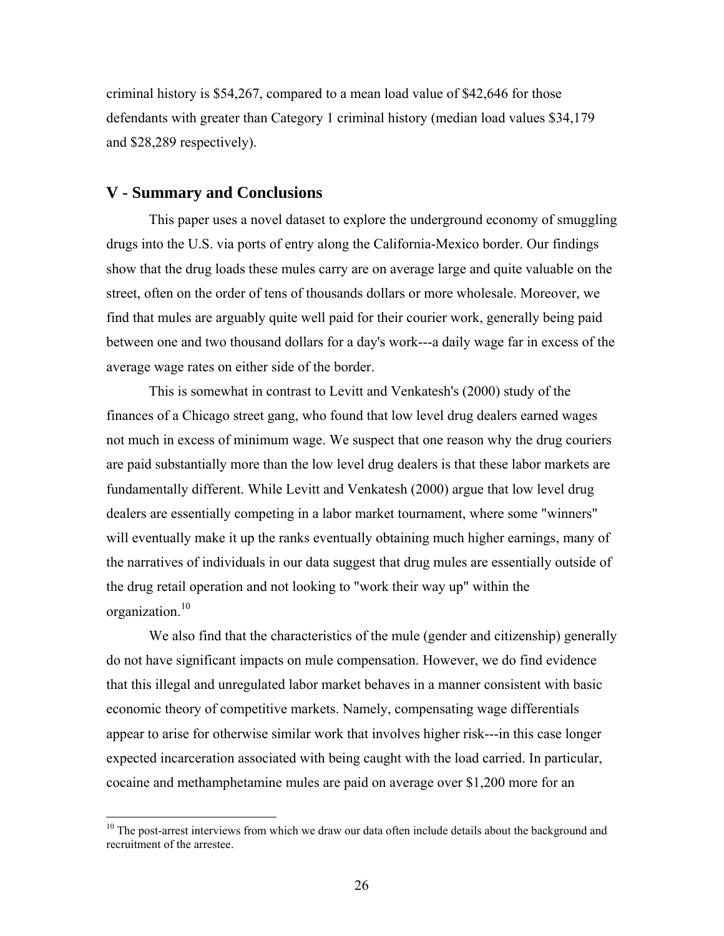criminal history is \$54,267, compared to a mean load value of \$42,646 for those defendants with greater than Category 1 criminal history (median load values \$34,179 and \$28,289 respectively).

### **V - Summary and Conclusions**

 $\overline{a}$ 

 This paper uses a novel dataset to explore the underground economy of smuggling drugs into the U.S. via ports of entry along the California-Mexico border. Our findings show that the drug loads these mules carry are on average large and quite valuable on the street, often on the order of tens of thousands dollars or more wholesale. Moreover, we find that mules are arguably quite well paid for their courier work, generally being paid between one and two thousand dollars for a day's work---a daily wage far in excess of the average wage rates on either side of the border.

 This is somewhat in contrast to Levitt and Venkatesh's (2000) study of the finances of a Chicago street gang, who found that low level drug dealers earned wages not much in excess of minimum wage. We suspect that one reason why the drug couriers are paid substantially more than the low level drug dealers is that these labor markets are fundamentally different. While Levitt and Venkatesh (2000) argue that low level drug dealers are essentially competing in a labor market tournament, where some "winners" will eventually make it up the ranks eventually obtaining much higher earnings, many of the narratives of individuals in our data suggest that drug mules are essentially outside of the drug retail operation and not looking to "work their way up" within the organization.<sup>10</sup>

We also find that the characteristics of the mule (gender and citizenship) generally do not have significant impacts on mule compensation. However, we do find evidence that this illegal and unregulated labor market behaves in a manner consistent with basic economic theory of competitive markets. Namely, compensating wage differentials appear to arise for otherwise similar work that involves higher risk---in this case longer expected incarceration associated with being caught with the load carried. In particular, cocaine and methamphetamine mules are paid on average over \$1,200 more for an

 $10$  The post-arrest interviews from which we draw our data often include details about the background and recruitment of the arrestee.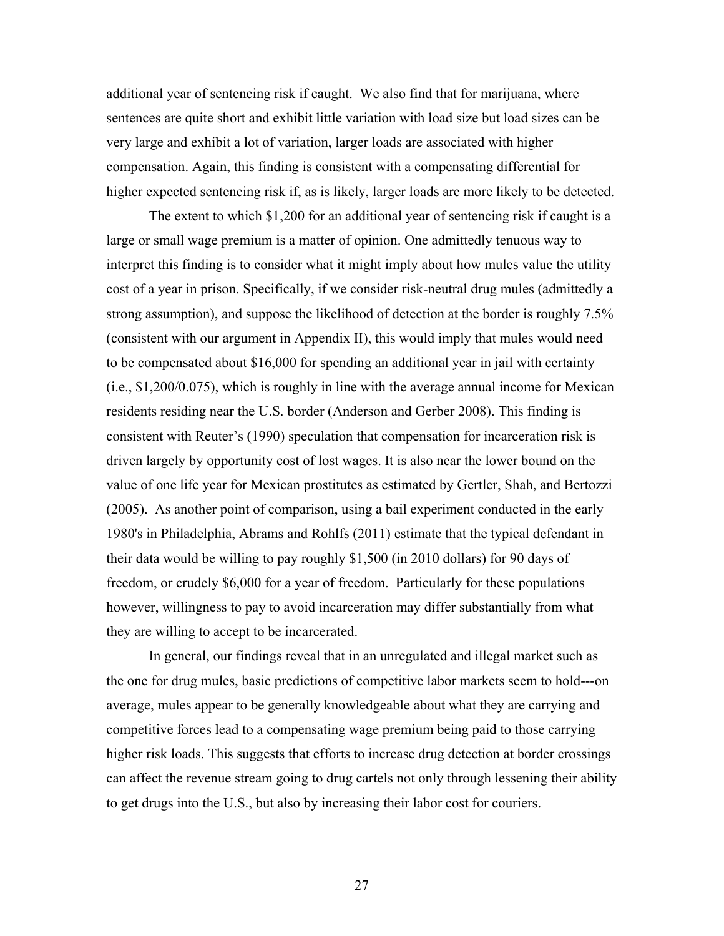additional year of sentencing risk if caught. We also find that for marijuana, where sentences are quite short and exhibit little variation with load size but load sizes can be very large and exhibit a lot of variation, larger loads are associated with higher compensation. Again, this finding is consistent with a compensating differential for higher expected sentencing risk if, as is likely, larger loads are more likely to be detected.

The extent to which \$1,200 for an additional year of sentencing risk if caught is a large or small wage premium is a matter of opinion. One admittedly tenuous way to interpret this finding is to consider what it might imply about how mules value the utility cost of a year in prison. Specifically, if we consider risk-neutral drug mules (admittedly a strong assumption), and suppose the likelihood of detection at the border is roughly 7.5% (consistent with our argument in Appendix II), this would imply that mules would need to be compensated about \$16,000 for spending an additional year in jail with certainty (i.e., \$1,200/0.075), which is roughly in line with the average annual income for Mexican residents residing near the U.S. border (Anderson and Gerber 2008). This finding is consistent with Reuter's (1990) speculation that compensation for incarceration risk is driven largely by opportunity cost of lost wages. It is also near the lower bound on the value of one life year for Mexican prostitutes as estimated by Gertler, Shah, and Bertozzi (2005). As another point of comparison, using a bail experiment conducted in the early 1980's in Philadelphia, Abrams and Rohlfs (2011) estimate that the typical defendant in their data would be willing to pay roughly \$1,500 (in 2010 dollars) for 90 days of freedom, or crudely \$6,000 for a year of freedom. Particularly for these populations however, willingness to pay to avoid incarceration may differ substantially from what they are willing to accept to be incarcerated.

In general, our findings reveal that in an unregulated and illegal market such as the one for drug mules, basic predictions of competitive labor markets seem to hold---on average, mules appear to be generally knowledgeable about what they are carrying and competitive forces lead to a compensating wage premium being paid to those carrying higher risk loads. This suggests that efforts to increase drug detection at border crossings can affect the revenue stream going to drug cartels not only through lessening their ability to get drugs into the U.S., but also by increasing their labor cost for couriers.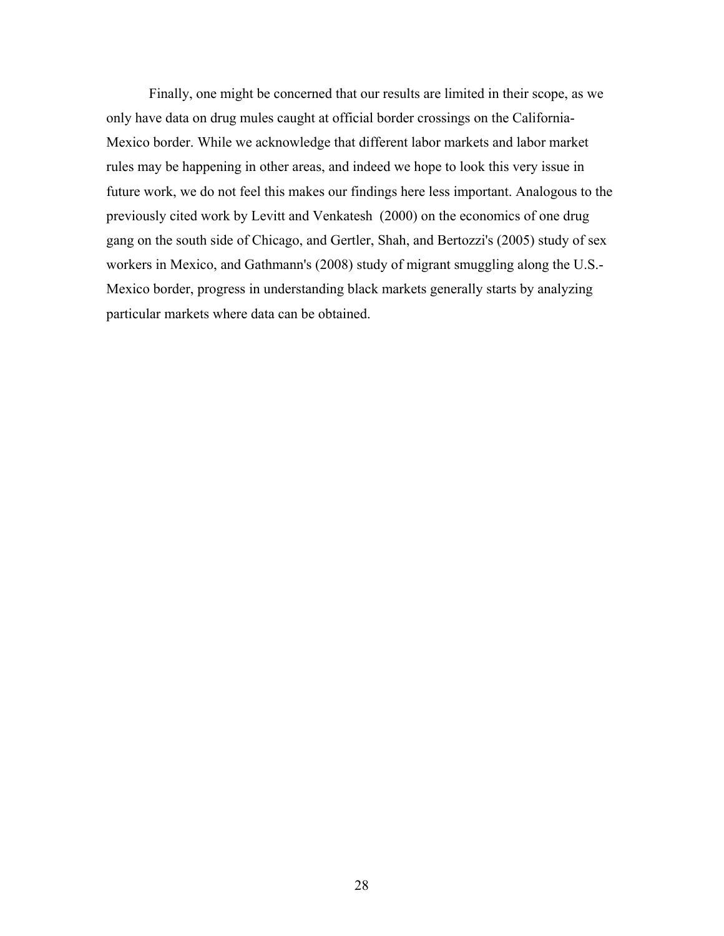Finally, one might be concerned that our results are limited in their scope, as we only have data on drug mules caught at official border crossings on the California-Mexico border. While we acknowledge that different labor markets and labor market rules may be happening in other areas, and indeed we hope to look this very issue in future work, we do not feel this makes our findings here less important. Analogous to the previously cited work by Levitt and Venkatesh (2000) on the economics of one drug gang on the south side of Chicago, and Gertler, Shah, and Bertozzi's (2005) study of sex workers in Mexico, and Gathmann's (2008) study of migrant smuggling along the U.S.- Mexico border, progress in understanding black markets generally starts by analyzing particular markets where data can be obtained.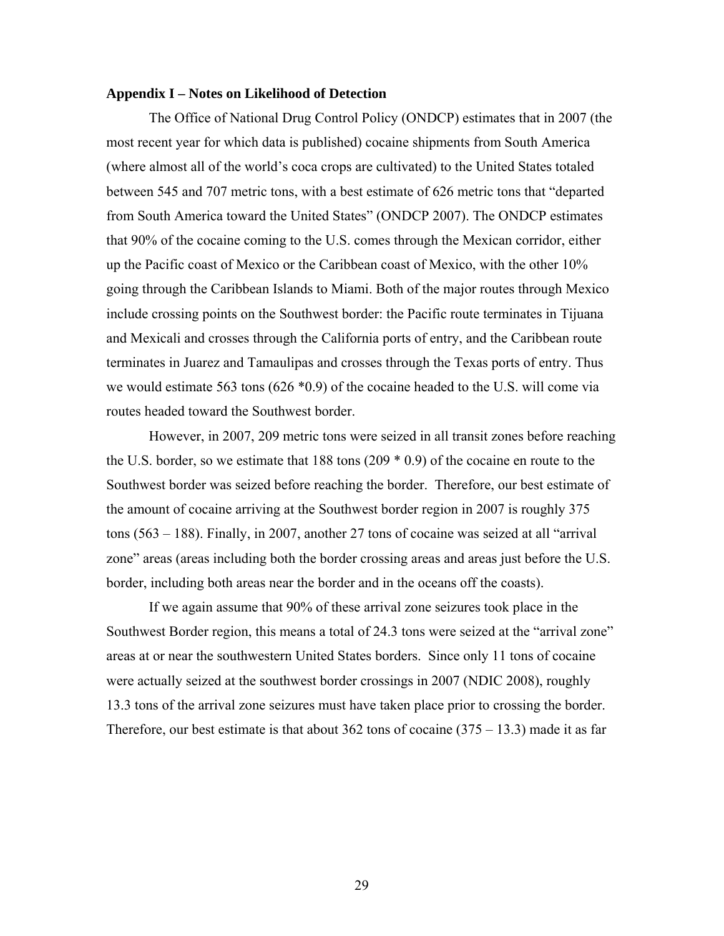#### **Appendix I – Notes on Likelihood of Detection**

The Office of National Drug Control Policy (ONDCP) estimates that in 2007 (the most recent year for which data is published) cocaine shipments from South America (where almost all of the world's coca crops are cultivated) to the United States totaled between 545 and 707 metric tons, with a best estimate of 626 metric tons that "departed from South America toward the United States" (ONDCP 2007). The ONDCP estimates that 90% of the cocaine coming to the U.S. comes through the Mexican corridor, either up the Pacific coast of Mexico or the Caribbean coast of Mexico, with the other 10% going through the Caribbean Islands to Miami. Both of the major routes through Mexico include crossing points on the Southwest border: the Pacific route terminates in Tijuana and Mexicali and crosses through the California ports of entry, and the Caribbean route terminates in Juarez and Tamaulipas and crosses through the Texas ports of entry. Thus we would estimate 563 tons (626 \*0.9) of the cocaine headed to the U.S. will come via routes headed toward the Southwest border.

However, in 2007, 209 metric tons were seized in all transit zones before reaching the U.S. border, so we estimate that 188 tons (209 \* 0.9) of the cocaine en route to the Southwest border was seized before reaching the border. Therefore, our best estimate of the amount of cocaine arriving at the Southwest border region in 2007 is roughly 375 tons (563 – 188). Finally, in 2007, another 27 tons of cocaine was seized at all "arrival zone" areas (areas including both the border crossing areas and areas just before the U.S. border, including both areas near the border and in the oceans off the coasts).

If we again assume that 90% of these arrival zone seizures took place in the Southwest Border region, this means a total of 24.3 tons were seized at the "arrival zone" areas at or near the southwestern United States borders. Since only 11 tons of cocaine were actually seized at the southwest border crossings in 2007 (NDIC 2008), roughly 13.3 tons of the arrival zone seizures must have taken place prior to crossing the border. Therefore, our best estimate is that about 362 tons of cocaine  $(375 - 13.3)$  made it as far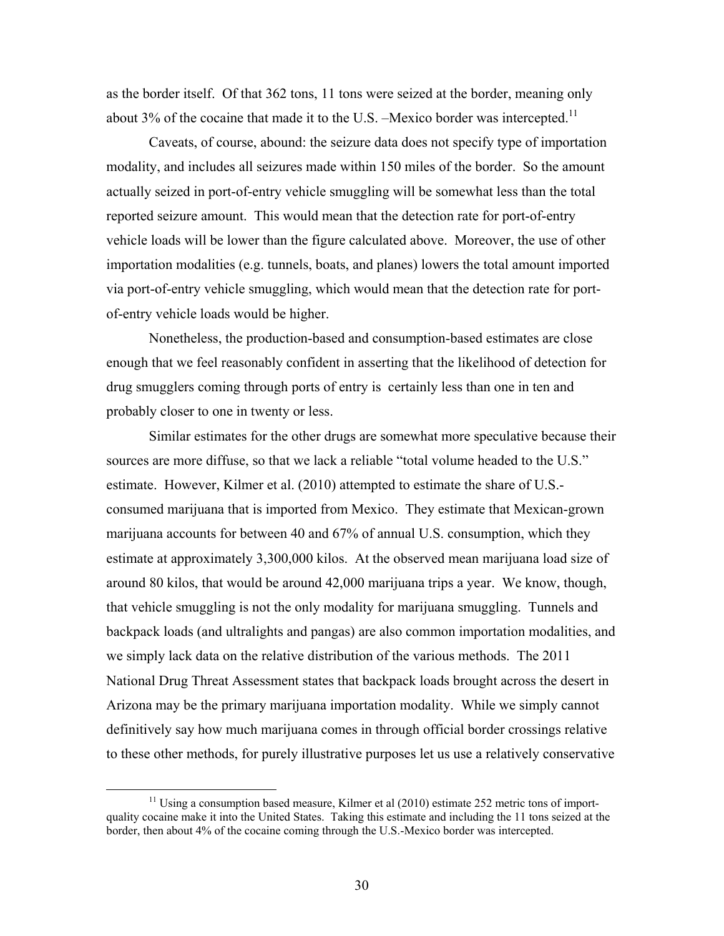as the border itself. Of that 362 tons, 11 tons were seized at the border, meaning only about 3% of the cocaine that made it to the U.S. –Mexico border was intercepted.<sup>11</sup>

Caveats, of course, abound: the seizure data does not specify type of importation modality, and includes all seizures made within 150 miles of the border. So the amount actually seized in port-of-entry vehicle smuggling will be somewhat less than the total reported seizure amount. This would mean that the detection rate for port-of-entry vehicle loads will be lower than the figure calculated above. Moreover, the use of other importation modalities (e.g. tunnels, boats, and planes) lowers the total amount imported via port-of-entry vehicle smuggling, which would mean that the detection rate for portof-entry vehicle loads would be higher.

Nonetheless, the production-based and consumption-based estimates are close enough that we feel reasonably confident in asserting that the likelihood of detection for drug smugglers coming through ports of entry is certainly less than one in ten and probably closer to one in twenty or less.

Similar estimates for the other drugs are somewhat more speculative because their sources are more diffuse, so that we lack a reliable "total volume headed to the U.S." estimate. However, Kilmer et al. (2010) attempted to estimate the share of U.S. consumed marijuana that is imported from Mexico. They estimate that Mexican-grown marijuana accounts for between 40 and 67% of annual U.S. consumption, which they estimate at approximately 3,300,000 kilos. At the observed mean marijuana load size of around 80 kilos, that would be around 42,000 marijuana trips a year. We know, though, that vehicle smuggling is not the only modality for marijuana smuggling. Tunnels and backpack loads (and ultralights and pangas) are also common importation modalities, and we simply lack data on the relative distribution of the various methods. The 2011 National Drug Threat Assessment states that backpack loads brought across the desert in Arizona may be the primary marijuana importation modality. While we simply cannot definitively say how much marijuana comes in through official border crossings relative to these other methods, for purely illustrative purposes let us use a relatively conservative

 $11$  Using a consumption based measure, Kilmer et al (2010) estimate 252 metric tons of importquality cocaine make it into the United States. Taking this estimate and including the 11 tons seized at the border, then about 4% of the cocaine coming through the U.S.-Mexico border was intercepted.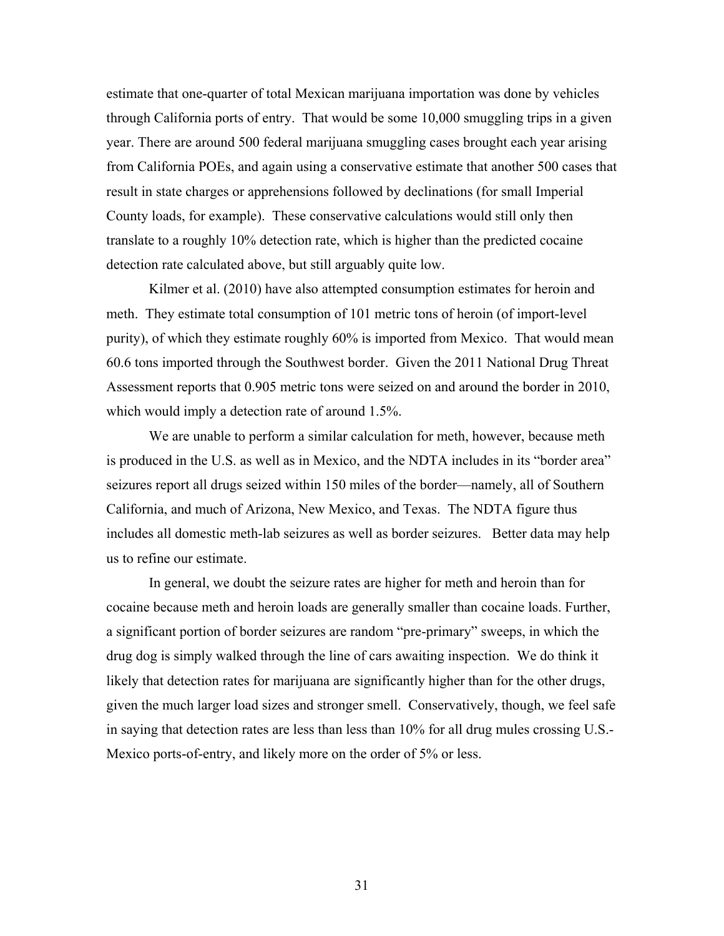estimate that one-quarter of total Mexican marijuana importation was done by vehicles through California ports of entry. That would be some 10,000 smuggling trips in a given year. There are around 500 federal marijuana smuggling cases brought each year arising from California POEs, and again using a conservative estimate that another 500 cases that result in state charges or apprehensions followed by declinations (for small Imperial County loads, for example). These conservative calculations would still only then translate to a roughly 10% detection rate, which is higher than the predicted cocaine detection rate calculated above, but still arguably quite low.

Kilmer et al. (2010) have also attempted consumption estimates for heroin and meth. They estimate total consumption of 101 metric tons of heroin (of import-level purity), of which they estimate roughly 60% is imported from Mexico. That would mean 60.6 tons imported through the Southwest border. Given the 2011 National Drug Threat Assessment reports that 0.905 metric tons were seized on and around the border in 2010, which would imply a detection rate of around 1.5%.

We are unable to perform a similar calculation for meth, however, because meth is produced in the U.S. as well as in Mexico, and the NDTA includes in its "border area" seizures report all drugs seized within 150 miles of the border—namely, all of Southern California, and much of Arizona, New Mexico, and Texas. The NDTA figure thus includes all domestic meth-lab seizures as well as border seizures. Better data may help us to refine our estimate.

In general, we doubt the seizure rates are higher for meth and heroin than for cocaine because meth and heroin loads are generally smaller than cocaine loads. Further, a significant portion of border seizures are random "pre-primary" sweeps, in which the drug dog is simply walked through the line of cars awaiting inspection. We do think it likely that detection rates for marijuana are significantly higher than for the other drugs, given the much larger load sizes and stronger smell. Conservatively, though, we feel safe in saying that detection rates are less than less than 10% for all drug mules crossing U.S.- Mexico ports-of-entry, and likely more on the order of 5% or less.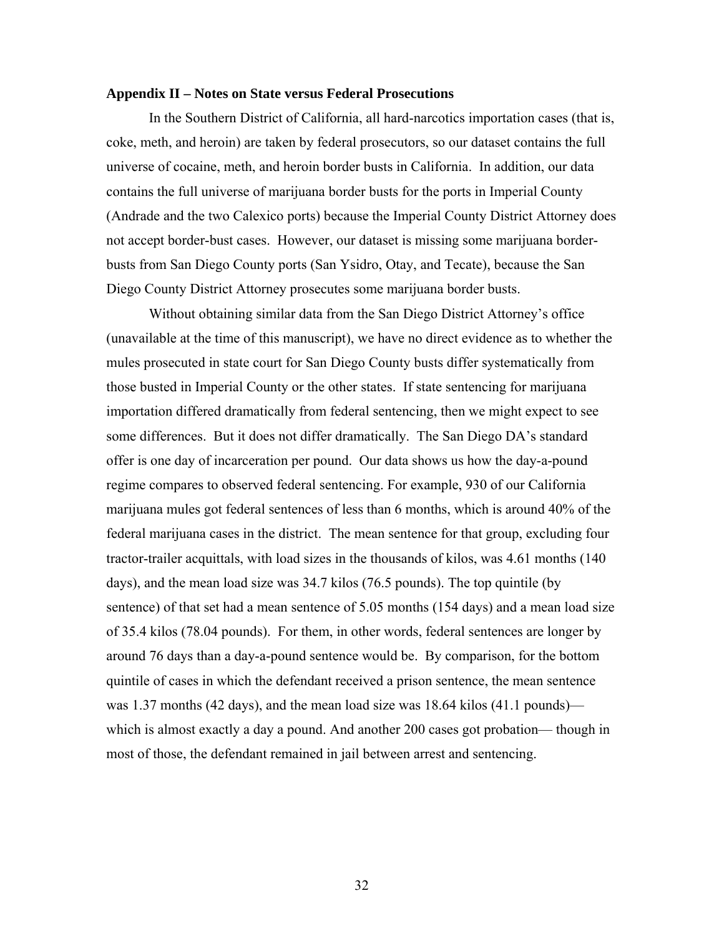#### **Appendix II – Notes on State versus Federal Prosecutions**

In the Southern District of California, all hard-narcotics importation cases (that is, coke, meth, and heroin) are taken by federal prosecutors, so our dataset contains the full universe of cocaine, meth, and heroin border busts in California. In addition, our data contains the full universe of marijuana border busts for the ports in Imperial County (Andrade and the two Calexico ports) because the Imperial County District Attorney does not accept border-bust cases. However, our dataset is missing some marijuana borderbusts from San Diego County ports (San Ysidro, Otay, and Tecate), because the San Diego County District Attorney prosecutes some marijuana border busts.

Without obtaining similar data from the San Diego District Attorney's office (unavailable at the time of this manuscript), we have no direct evidence as to whether the mules prosecuted in state court for San Diego County busts differ systematically from those busted in Imperial County or the other states. If state sentencing for marijuana importation differed dramatically from federal sentencing, then we might expect to see some differences. But it does not differ dramatically. The San Diego DA's standard offer is one day of incarceration per pound. Our data shows us how the day-a-pound regime compares to observed federal sentencing. For example, 930 of our California marijuana mules got federal sentences of less than 6 months, which is around 40% of the federal marijuana cases in the district. The mean sentence for that group, excluding four tractor-trailer acquittals, with load sizes in the thousands of kilos, was 4.61 months (140 days), and the mean load size was 34.7 kilos (76.5 pounds). The top quintile (by sentence) of that set had a mean sentence of 5.05 months (154 days) and a mean load size of 35.4 kilos (78.04 pounds). For them, in other words, federal sentences are longer by around 76 days than a day-a-pound sentence would be. By comparison, for the bottom quintile of cases in which the defendant received a prison sentence, the mean sentence was 1.37 months (42 days), and the mean load size was 18.64 kilos (41.1 pounds) which is almost exactly a day a pound. And another 200 cases got probation— though in most of those, the defendant remained in jail between arrest and sentencing.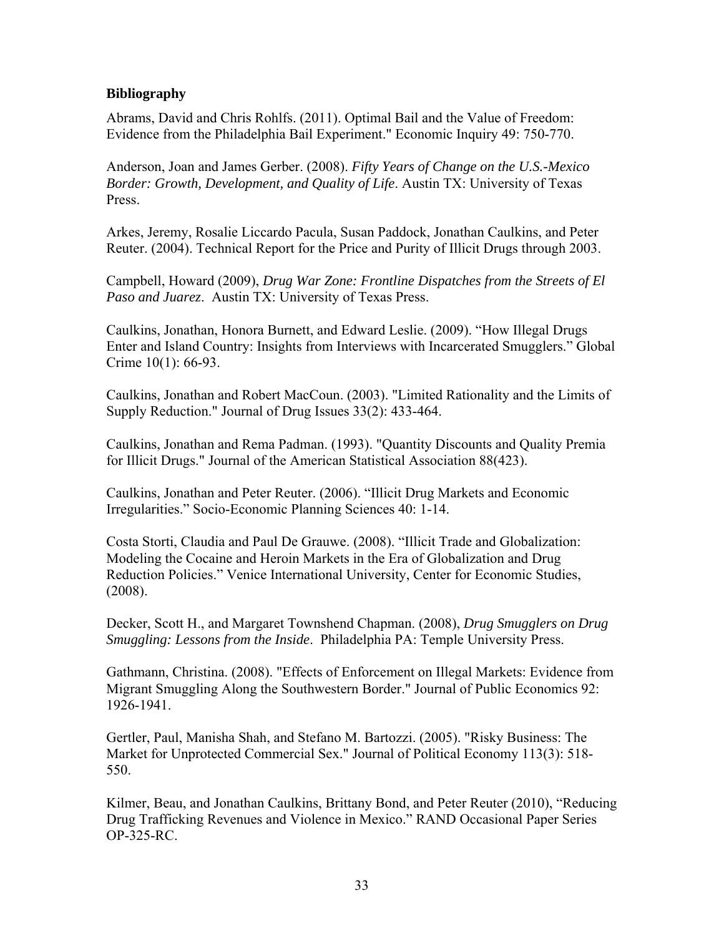### **Bibliography**

Abrams, David and Chris Rohlfs. (2011). Optimal Bail and the Value of Freedom: Evidence from the Philadelphia Bail Experiment." Economic Inquiry 49: 750-770.

Anderson, Joan and James Gerber. (2008). *Fifty Years of Change on the U.S.-Mexico Border: Growth, Development, and Quality of Life*. Austin TX: University of Texas Press.

Arkes, Jeremy, Rosalie Liccardo Pacula, Susan Paddock, Jonathan Caulkins, and Peter Reuter. (2004). Technical Report for the Price and Purity of Illicit Drugs through 2003.

Campbell, Howard (2009), *Drug War Zone: Frontline Dispatches from the Streets of El Paso and Juarez*. Austin TX: University of Texas Press.

Caulkins, Jonathan, Honora Burnett, and Edward Leslie. (2009). "How Illegal Drugs Enter and Island Country: Insights from Interviews with Incarcerated Smugglers." Global Crime 10(1): 66-93.

Caulkins, Jonathan and Robert MacCoun. (2003). "Limited Rationality and the Limits of Supply Reduction." Journal of Drug Issues 33(2): 433-464.

Caulkins, Jonathan and Rema Padman. (1993). "Quantity Discounts and Quality Premia for Illicit Drugs." Journal of the American Statistical Association 88(423).

Caulkins, Jonathan and Peter Reuter. (2006). "Illicit Drug Markets and Economic Irregularities." Socio-Economic Planning Sciences 40: 1-14.

Costa Storti, Claudia and Paul De Grauwe. (2008). "Illicit Trade and Globalization: Modeling the Cocaine and Heroin Markets in the Era of Globalization and Drug Reduction Policies." Venice International University, Center for Economic Studies, (2008).

Decker, Scott H., and Margaret Townshend Chapman. (2008), *Drug Smugglers on Drug Smuggling: Lessons from the Inside*. Philadelphia PA: Temple University Press.

Gathmann, Christina. (2008). "Effects of Enforcement on Illegal Markets: Evidence from Migrant Smuggling Along the Southwestern Border." Journal of Public Economics 92: 1926-1941.

Gertler, Paul, Manisha Shah, and Stefano M. Bartozzi. (2005). "Risky Business: The Market for Unprotected Commercial Sex." Journal of Political Economy 113(3): 518- 550.

Kilmer, Beau, and Jonathan Caulkins, Brittany Bond, and Peter Reuter (2010), "Reducing Drug Trafficking Revenues and Violence in Mexico." RAND Occasional Paper Series OP-325-RC.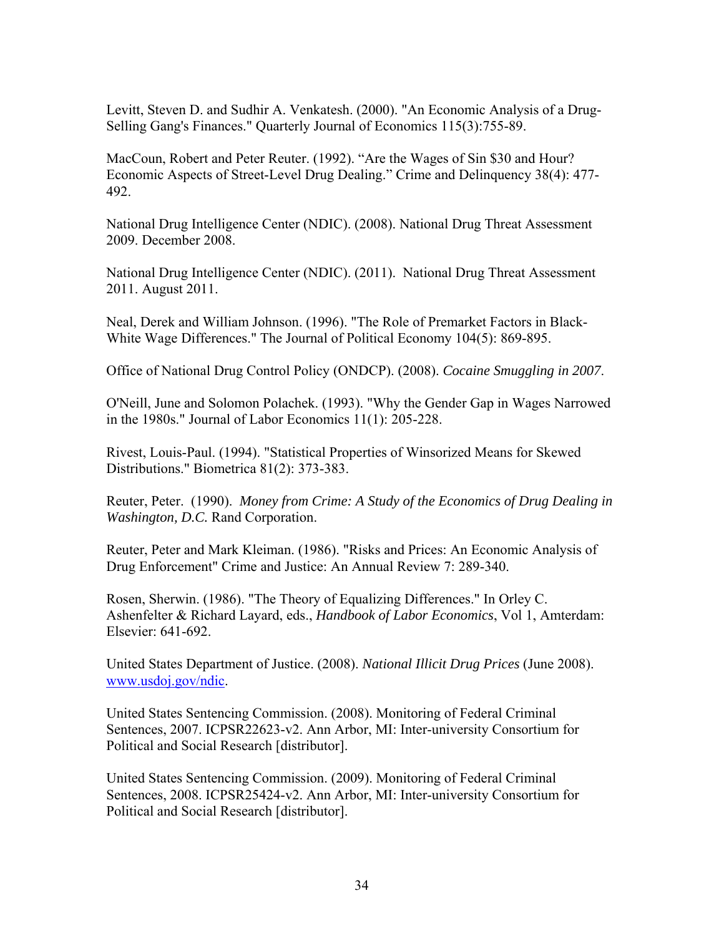Levitt, Steven D. and Sudhir A. Venkatesh. (2000). "An Economic Analysis of a Drug-Selling Gang's Finances." Quarterly Journal of Economics 115(3):755-89.

MacCoun, Robert and Peter Reuter. (1992). "Are the Wages of Sin \$30 and Hour? Economic Aspects of Street-Level Drug Dealing." Crime and Delinquency 38(4): 477- 492.

National Drug Intelligence Center (NDIC). (2008). National Drug Threat Assessment 2009. December 2008.

National Drug Intelligence Center (NDIC). (2011). National Drug Threat Assessment 2011. August 2011.

Neal, Derek and William Johnson. (1996). "The Role of Premarket Factors in Black-White Wage Differences." The Journal of Political Economy 104(5): 869-895.

Office of National Drug Control Policy (ONDCP). (2008). *Cocaine Smuggling in 2007*.

O'Neill, June and Solomon Polachek. (1993). "Why the Gender Gap in Wages Narrowed in the 1980s." Journal of Labor Economics 11(1): 205-228.

Rivest, Louis-Paul. (1994). "Statistical Properties of Winsorized Means for Skewed Distributions." Biometrica 81(2): 373-383.

Reuter, Peter. (1990). *Money from Crime: A Study of the Economics of Drug Dealing in Washington, D.C.* Rand Corporation.

Reuter, Peter and Mark Kleiman. (1986). "Risks and Prices: An Economic Analysis of Drug Enforcement" Crime and Justice: An Annual Review 7: 289-340.

Rosen, Sherwin. (1986). "The Theory of Equalizing Differences." In Orley C. Ashenfelter & Richard Layard, eds., *Handbook of Labor Economics*, Vol 1, Amterdam: Elsevier: 641-692.

United States Department of Justice. (2008). *National Illicit Drug Prices* (June 2008). www.usdoj.gov/ndic.

United States Sentencing Commission. (2008). Monitoring of Federal Criminal Sentences, 2007. ICPSR22623-v2. Ann Arbor, MI: Inter-university Consortium for Political and Social Research [distributor].

United States Sentencing Commission. (2009). Monitoring of Federal Criminal Sentences, 2008. ICPSR25424-v2. Ann Arbor, MI: Inter-university Consortium for Political and Social Research [distributor].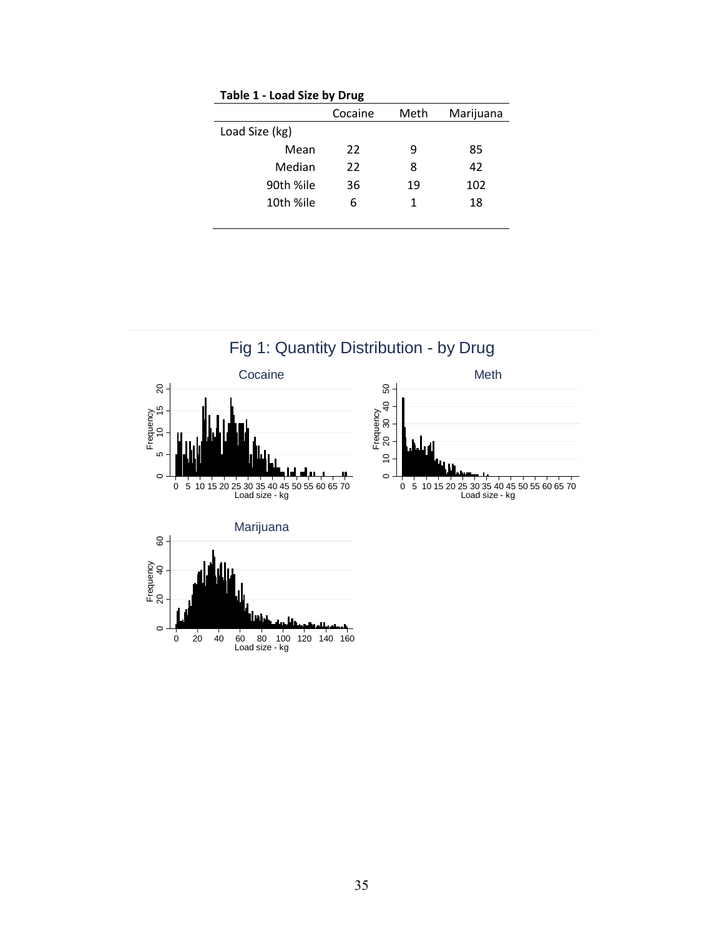| Table 1 - Load Size by Drug |         |      |           |  |
|-----------------------------|---------|------|-----------|--|
|                             | Cocaine | Meth | Marijuana |  |
| Load Size (kg)              |         |      |           |  |
| Mean                        | 22      | 9    | 85        |  |
| Median                      | 22      | 8    | 42        |  |
| 90th %ile                   | 36      | 19   | 102       |  |
| 10th %ile                   | 6       | 1    | 18        |  |
|                             |         |      |           |  |

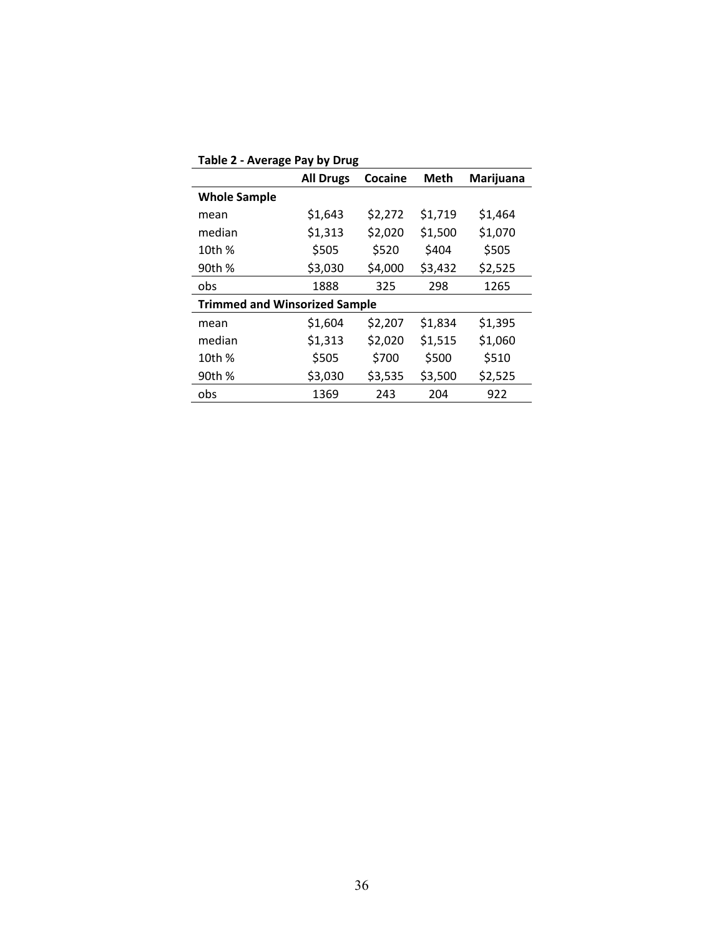|                                      | <b>All Drugs</b> | Cocaine | <b>Meth</b> | Marijuana |
|--------------------------------------|------------------|---------|-------------|-----------|
| <b>Whole Sample</b>                  |                  |         |             |           |
| mean                                 | \$1,643          | \$2,272 | \$1,719     | \$1,464   |
| median                               | \$1,313          | \$2,020 | \$1,500     | \$1,070   |
| 10th %                               | \$505            | \$520   | \$404       | \$505     |
| 90th %                               | \$3,030          | \$4,000 | \$3,432     | \$2,525   |
| obs                                  | 1888             | 325     | 298         | 1265      |
| <b>Trimmed and Winsorized Sample</b> |                  |         |             |           |
| mean                                 | \$1,604          | \$2,207 | \$1,834     | \$1,395   |
| median                               | \$1,313          | \$2,020 | \$1,515     | \$1,060   |
| 10th %                               | \$505            | \$700   | \$500       | \$510     |
| 90th %                               | \$3,030          | \$3,535 | \$3,500     | \$2,525   |
| obs                                  | 1369             | 243     | 204         | 922       |

**Table 2 ‐ Average Pay by Drug**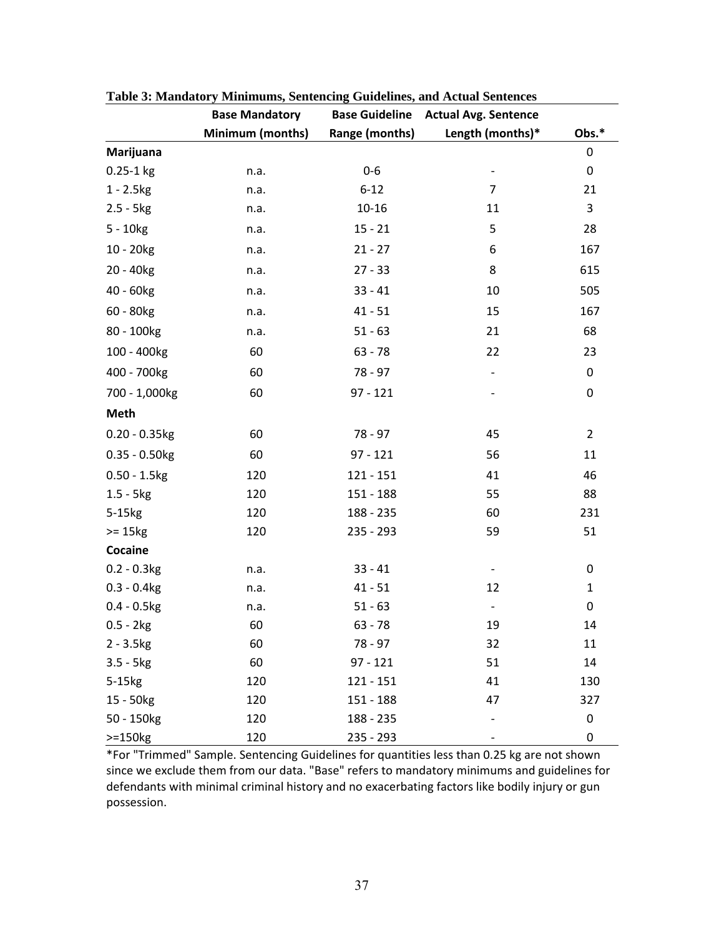|                  | <b>Base Mandatory</b> | <b>Base Guideline</b> | <b>Actual Avg. Sentence</b>  |                |
|------------------|-----------------------|-----------------------|------------------------------|----------------|
|                  | Minimum (months)      | Range (months)        | Length (months)*             | Obs.*          |
| Marijuana        |                       |                       |                              | $\pmb{0}$      |
| $0.25 - 1$ kg    | n.a.                  | $0-6$                 | $\qquad \qquad \blacksquare$ | 0              |
| $1 - 2.5kg$      | n.a.                  | $6 - 12$              | $\overline{7}$               | 21             |
| $2.5 - 5kg$      | n.a.                  | $10 - 16$             | 11                           | 3              |
| $5 - 10kg$       | n.a.                  | $15 - 21$             | 5                            | 28             |
| 10 - 20kg        | n.a.                  | $21 - 27$             | 6                            | 167            |
| 20 - 40kg        | n.a.                  | $27 - 33$             | 8                            | 615            |
| 40 - 60kg        | n.a.                  | $33 - 41$             | 10                           | 505            |
| 60 - 80kg        | n.a.                  | $41 - 51$             | 15                           | 167            |
| 80 - 100kg       | n.a.                  | $51 - 63$             | 21                           | 68             |
| 100 - 400kg      | 60                    | $63 - 78$             | 22                           | 23             |
| 400 - 700kg      | 60                    | 78 - 97               |                              | 0              |
| 700 - 1,000kg    | 60                    | $97 - 121$            |                              | 0              |
| <b>Meth</b>      |                       |                       |                              |                |
| $0.20 - 0.35$ kg | 60                    | 78 - 97               | 45                           | $\overline{2}$ |
| $0.35 - 0.50$ kg | 60                    | $97 - 121$            | 56                           | 11             |
| $0.50 - 1.5kg$   | 120                   | $121 - 151$           | 41                           | 46             |
| $1.5 - 5kg$      | 120                   | 151 - 188             | 55                           | 88             |
| 5-15kg           | 120                   | 188 - 235             | 60                           | 231            |
| $>= 15kg$        | 120                   | 235 - 293             | 59                           | 51             |
| Cocaine          |                       |                       |                              |                |
| $0.2 - 0.3$ kg   | n.a.                  | $33 - 41$             | $\overline{\phantom{a}}$     | 0              |
| $0.3 - 0.4$ kg   | n.a.                  | $41 - 51$             | 12                           | $\mathbf{1}$   |
| $0.4 - 0.5$ kg   | n.a.                  | $51 - 63$             |                              | 0              |
| $0.5 - 2kg$      | 60                    | $63 - 78$             | 19                           | 14             |
| $2 - 3.5kg$      | 60                    | 78 - 97               | 32                           | 11             |
| $3.5 - 5kg$      | 60                    | $97 - 121$            | 51                           | 14             |
| 5-15kg           | 120                   | $121 - 151$           | 41                           | 130            |
| 15 - 50kg        | 120                   | 151 - 188             | 47                           | 327            |
| 50 - 150kg       | 120                   | 188 - 235             |                              | 0              |
| $>=150kg$        | 120                   | 235 - 293             |                              | 0              |

**Table 3: Mandatory Minimums, Sentencing Guidelines, and Actual Sentences** 

\*For "Trimmed" Sample. Sentencing Guidelines for quantities less than 0.25 kg are not shown since we exclude them from our data. "Base" refers to mandatory minimums and guidelines for defendants with minimal criminal history and no exacerbating factors like bodily injury or gun possession.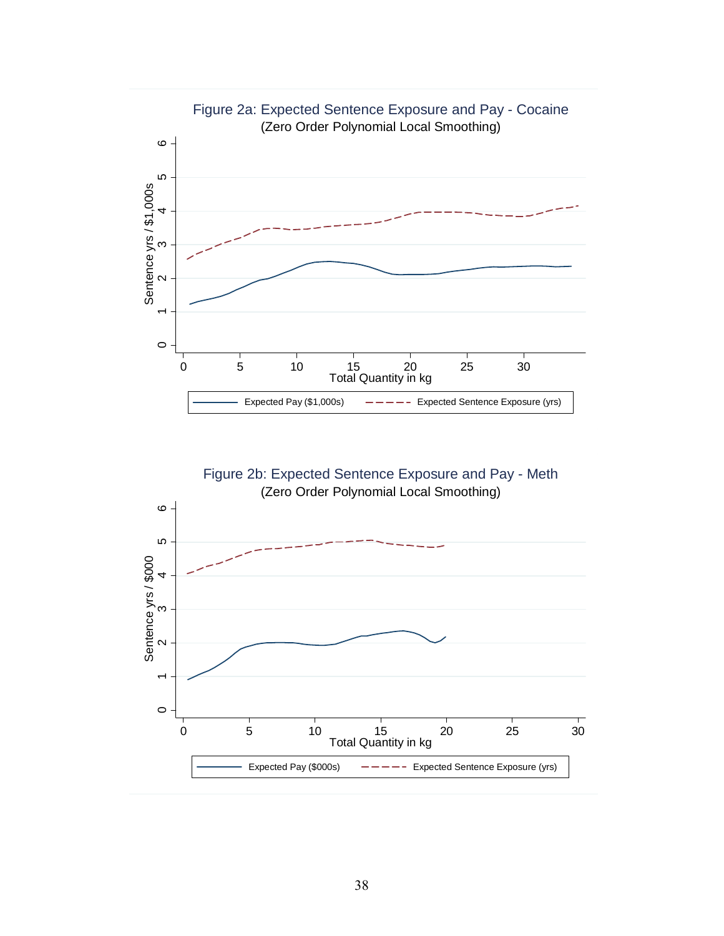

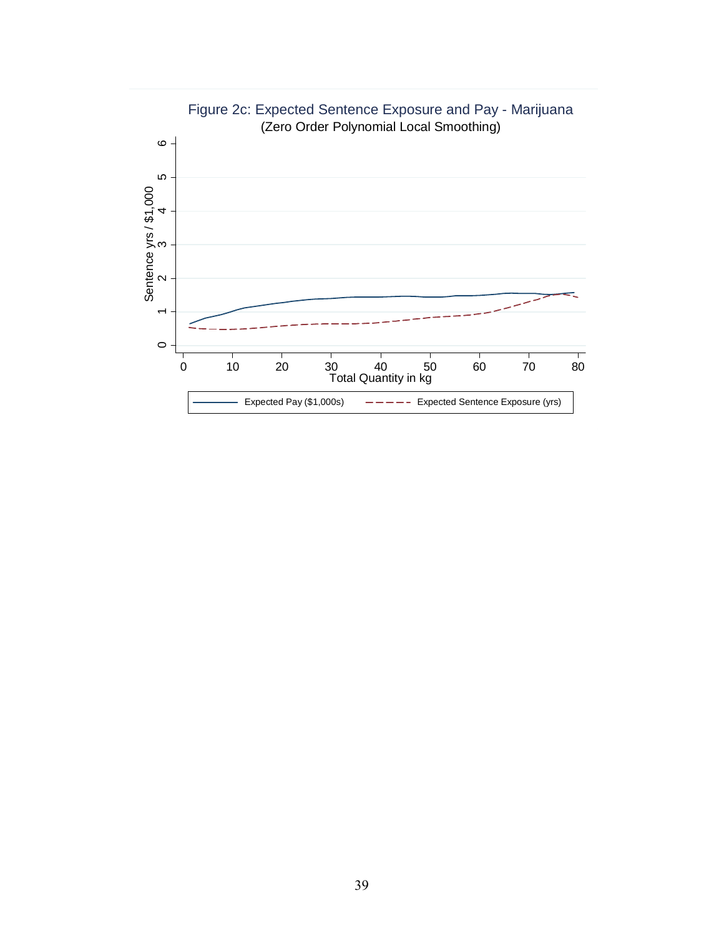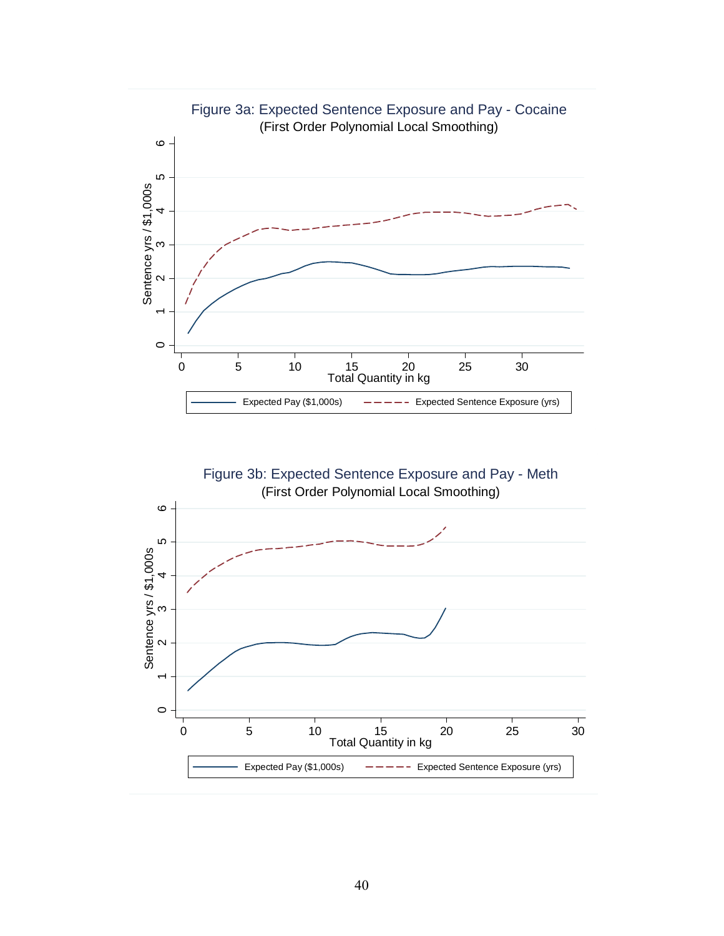

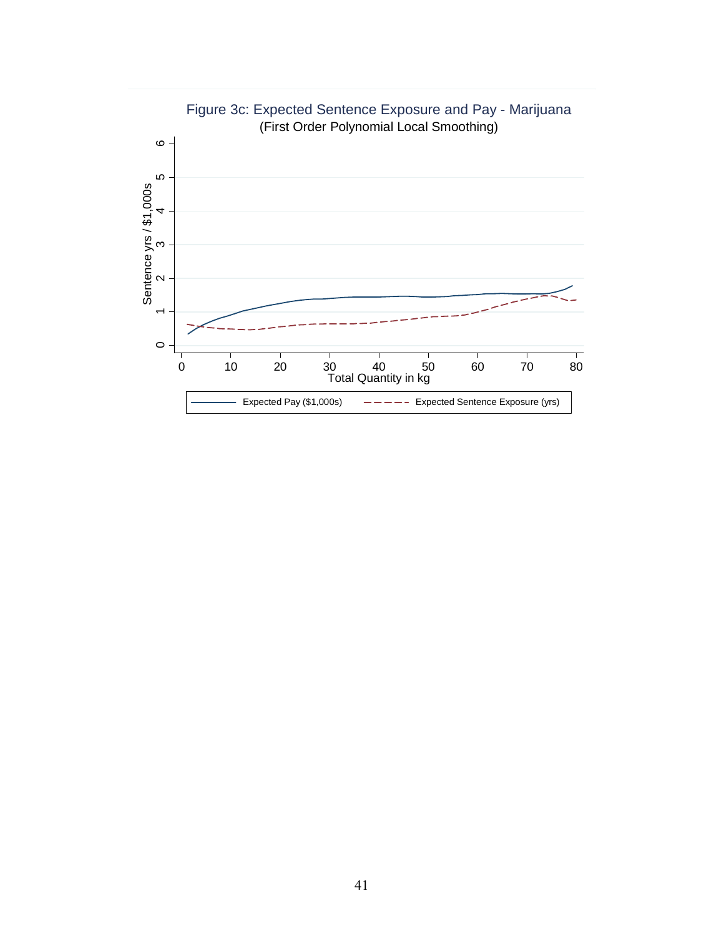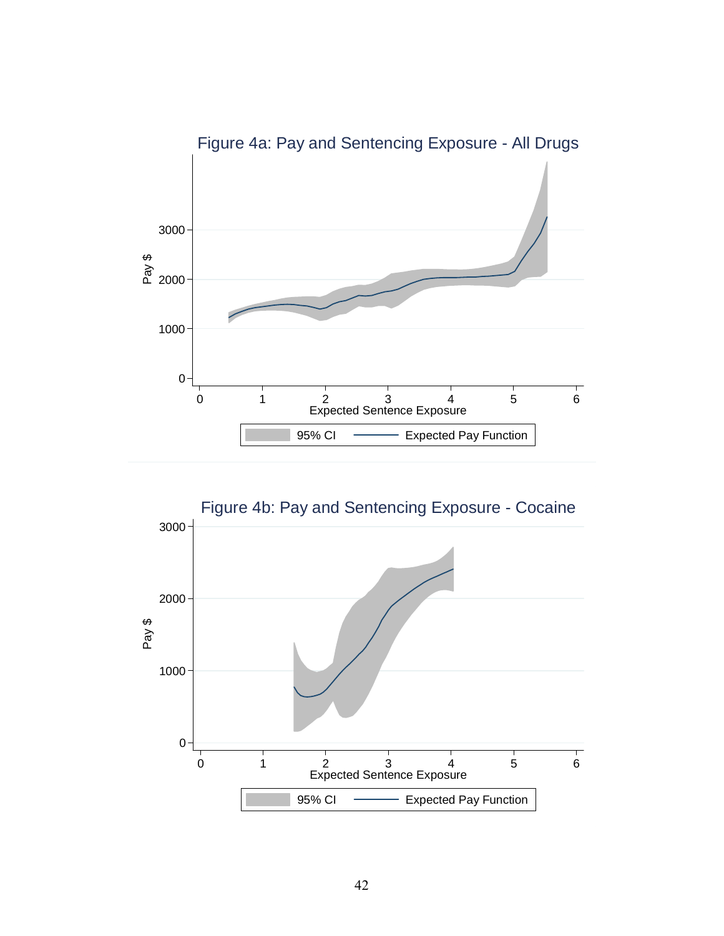

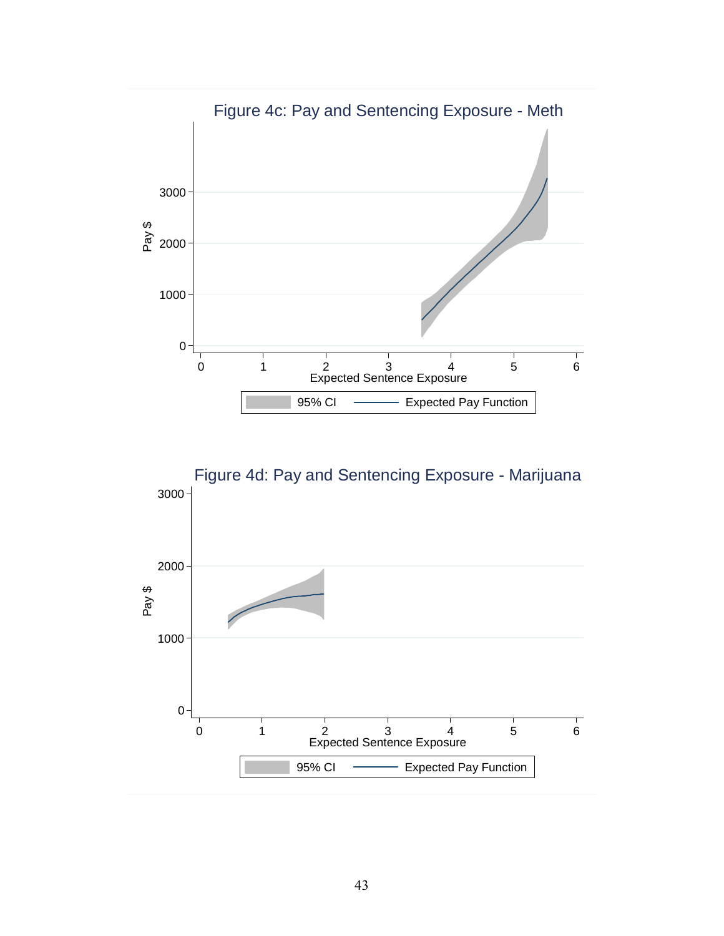

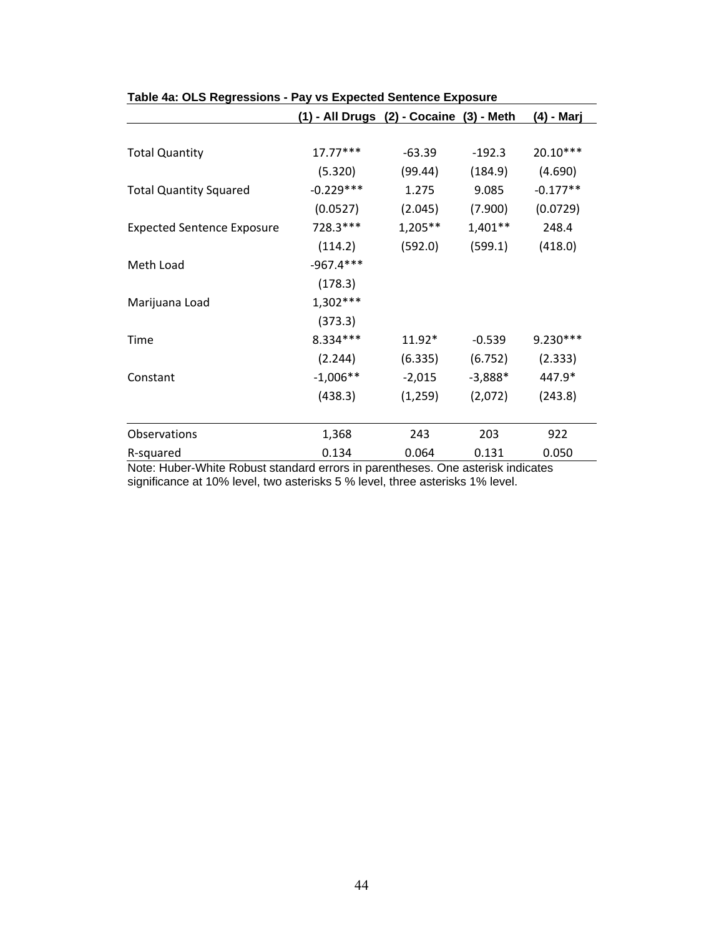|                                   | (1) - All Drugs (2) - Cocaine (3) - Meth |           |           | (4) - Marj |
|-----------------------------------|------------------------------------------|-----------|-----------|------------|
|                                   |                                          |           |           |            |
| <b>Total Quantity</b>             | $17.77***$                               | $-63.39$  | $-192.3$  | 20.10***   |
|                                   | (5.320)                                  | (99.44)   | (184.9)   | (4.690)    |
| <b>Total Quantity Squared</b>     | $-0.229***$                              | 1.275     | 9.085     | $-0.177**$ |
|                                   | (0.0527)                                 | (2.045)   | (7.900)   | (0.0729)   |
| <b>Expected Sentence Exposure</b> | 728.3***                                 | $1,205**$ | $1,401**$ | 248.4      |
|                                   | (114.2)                                  | (592.0)   | (599.1)   | (418.0)    |
| Meth Load                         | $-967.4***$                              |           |           |            |
|                                   | (178.3)                                  |           |           |            |
| Marijuana Load                    | $1,302***$                               |           |           |            |
|                                   | (373.3)                                  |           |           |            |
| Time                              | $8.334***$                               | $11.92*$  | $-0.539$  | $9.230***$ |
|                                   | (2.244)                                  | (6.335)   | (6.752)   | (2.333)    |
| Constant                          | $-1,006**$                               | $-2,015$  | $-3,888*$ | 447.9*     |
|                                   | (438.3)                                  | (1, 259)  | (2,072)   | (243.8)    |
|                                   |                                          |           |           |            |
| Observations                      | 1,368                                    | 243       | 203       | 922        |
| R-squared                         | 0.134                                    | 0.064     | 0.131     | 0.050      |

**Table 4a: OLS Regressions - Pay vs Expected Sentence Exposure** 

Note: Huber-White Robust standard errors in parentheses. One asterisk indicates significance at 10% level, two asterisks 5 % level, three asterisks 1% level.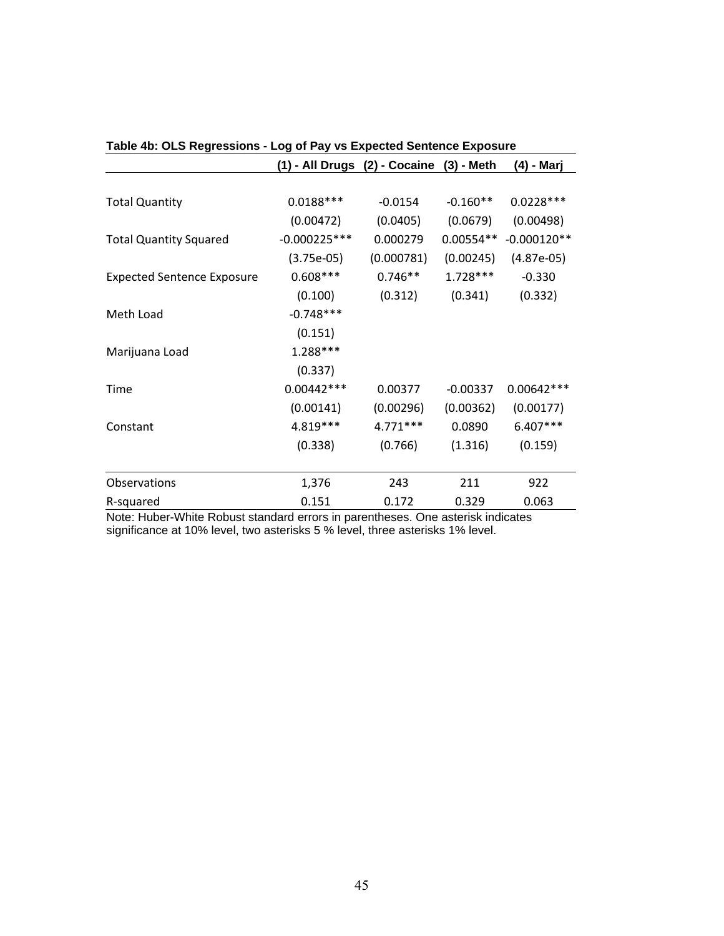|                                   | (1) - All Drugs (2) - Cocaine |            | $(3)$ - Meth | (4) - Marj    |
|-----------------------------------|-------------------------------|------------|--------------|---------------|
|                                   |                               |            |              |               |
| <b>Total Quantity</b>             | $0.0188***$                   | $-0.0154$  | $-0.160**$   | $0.0228***$   |
|                                   | (0.00472)                     | (0.0405)   | (0.0679)     | (0.00498)     |
| <b>Total Quantity Squared</b>     | $-0.000225***$                | 0.000279   | 0.00554**    | $-0.000120**$ |
|                                   | $(3.75e-05)$                  | (0.000781) | (0.00245)    | $(4.87e-05)$  |
| <b>Expected Sentence Exposure</b> | $0.608***$                    | $0.746**$  | $1.728***$   | $-0.330$      |
|                                   | (0.100)                       | (0.312)    | (0.341)      | (0.332)       |
| Meth Load                         | $-0.748***$                   |            |              |               |
|                                   | (0.151)                       |            |              |               |
| Marijuana Load                    | 1.288***                      |            |              |               |
|                                   | (0.337)                       |            |              |               |
| Time                              | $0.00442***$                  | 0.00377    | $-0.00337$   | $0.00642***$  |
|                                   | (0.00141)                     | (0.00296)  | (0.00362)    | (0.00177)     |
| Constant                          | 4.819 ***                     | $4.771***$ | 0.0890       | $6.407***$    |
|                                   | (0.338)                       | (0.766)    | (1.316)      | (0.159)       |
|                                   |                               |            |              |               |
| Observations                      | 1,376                         | 243        | 211          | 922           |
| R-squared                         | 0.151                         | 0.172      | 0.329        | 0.063         |

| Table 4b: OLS Regressions - Log of Pay vs Expected Sentence Exposure |  |
|----------------------------------------------------------------------|--|
|----------------------------------------------------------------------|--|

Note: Huber-White Robust standard errors in parentheses. One asterisk indicates significance at 10% level, two asterisks 5 % level, three asterisks 1% level.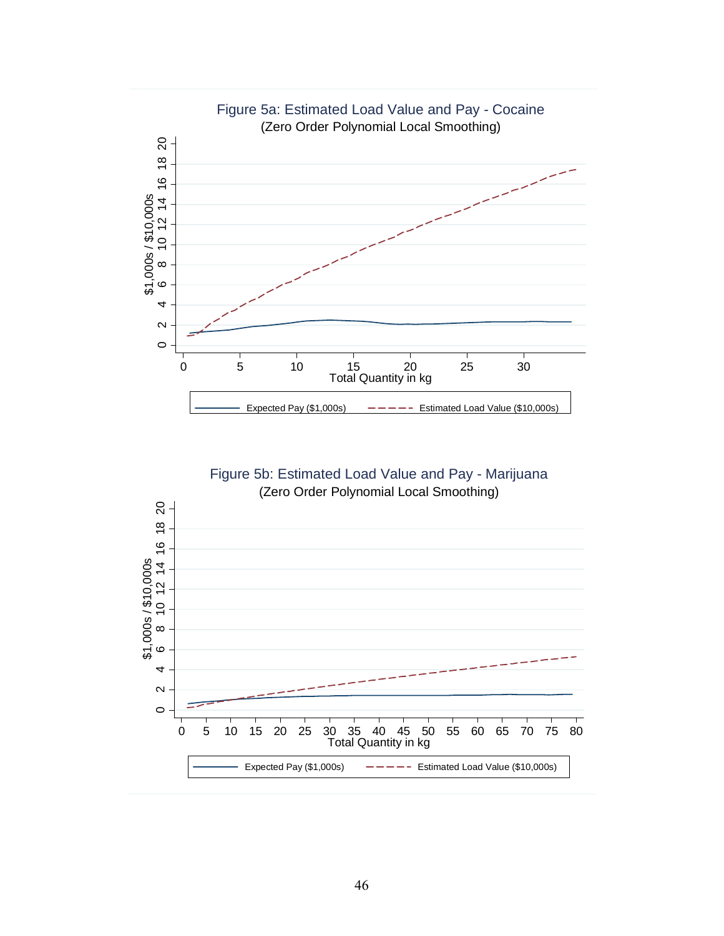

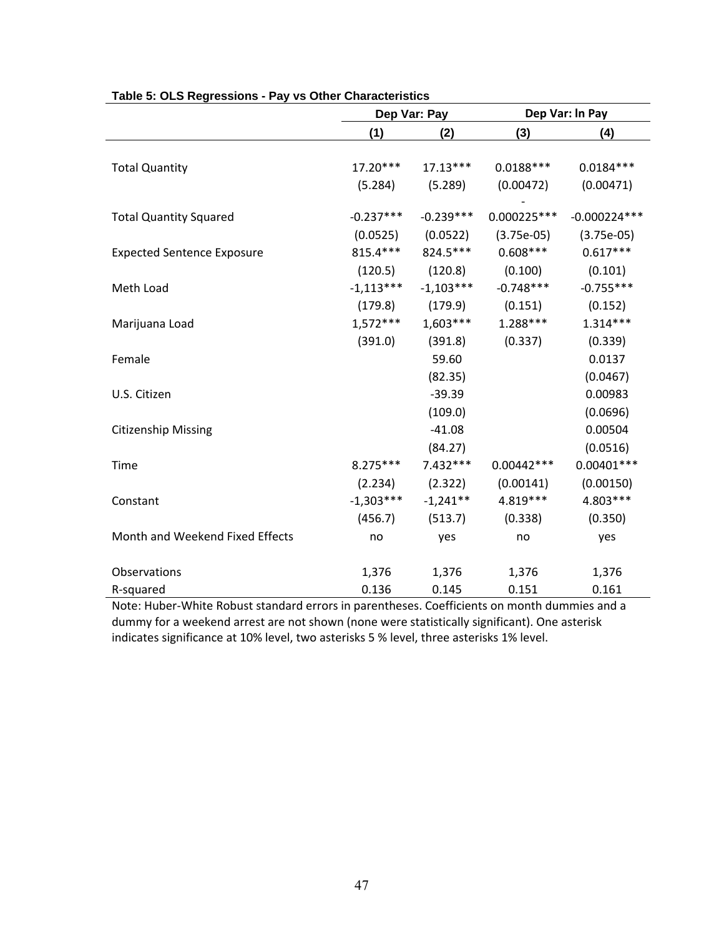|                                   | Dep Var: Pay |             |               | Dep Var: In Pay |
|-----------------------------------|--------------|-------------|---------------|-----------------|
|                                   | (1)<br>(2)   |             | (3)           | (4)             |
|                                   |              |             |               |                 |
| <b>Total Quantity</b>             | $17.20***$   | $17.13***$  | $0.0188***$   | $0.0184***$     |
|                                   | (5.284)      | (5.289)     | (0.00472)     | (0.00471)       |
|                                   |              |             |               |                 |
| <b>Total Quantity Squared</b>     | $-0.237***$  | $-0.239***$ | $0.000225***$ | $-0.000224***$  |
|                                   | (0.0525)     | (0.0522)    | $(3.75e-05)$  | $(3.75e-05)$    |
| <b>Expected Sentence Exposure</b> | $815.4***$   | 824.5***    | $0.608***$    | $0.617***$      |
|                                   | (120.5)      | (120.8)     | (0.100)       | (0.101)         |
| Meth Load                         | $-1,113***$  | $-1,103***$ | $-0.748***$   | $-0.755***$     |
|                                   | (179.8)      | (179.9)     | (0.151)       | (0.152)         |
| Marijuana Load                    | $1,572***$   | $1,603***$  | $1.288***$    | $1.314***$      |
|                                   | (391.0)      | (391.8)     | (0.337)       | (0.339)         |
| Female                            |              | 59.60       |               | 0.0137          |
|                                   |              | (82.35)     |               | (0.0467)        |
| U.S. Citizen                      |              | $-39.39$    |               | 0.00983         |
|                                   |              | (109.0)     |               | (0.0696)        |
| <b>Citizenship Missing</b>        |              | $-41.08$    |               | 0.00504         |
|                                   |              | (84.27)     |               | (0.0516)        |
| Time                              | $8.275***$   | $7.432***$  | $0.00442***$  | $0.00401***$    |
|                                   | (2.234)      | (2.322)     | (0.00141)     | (0.00150)       |
| Constant                          | $-1,303***$  | $-1,241**$  | 4.819 ***     | 4.803 ***       |
|                                   | (456.7)      | (513.7)     | (0.338)       | (0.350)         |
| Month and Weekend Fixed Effects   | no           | yes         | no            | yes             |
|                                   |              |             |               |                 |
| Observations                      | 1,376        | 1,376       | 1,376         | 1,376           |
| R-squared                         | 0.136        | 0.145       | 0.151         | 0.161           |

**Table 5: OLS Regressions - Pay vs Other Characteristics** 

Note: Huber‐White Robust standard errors in parentheses. Coefficients on month dummies and a dummy for a weekend arrest are not shown (none were statistically significant). One asterisk indicates significance at 10% level, two asterisks 5 % level, three asterisks 1% level.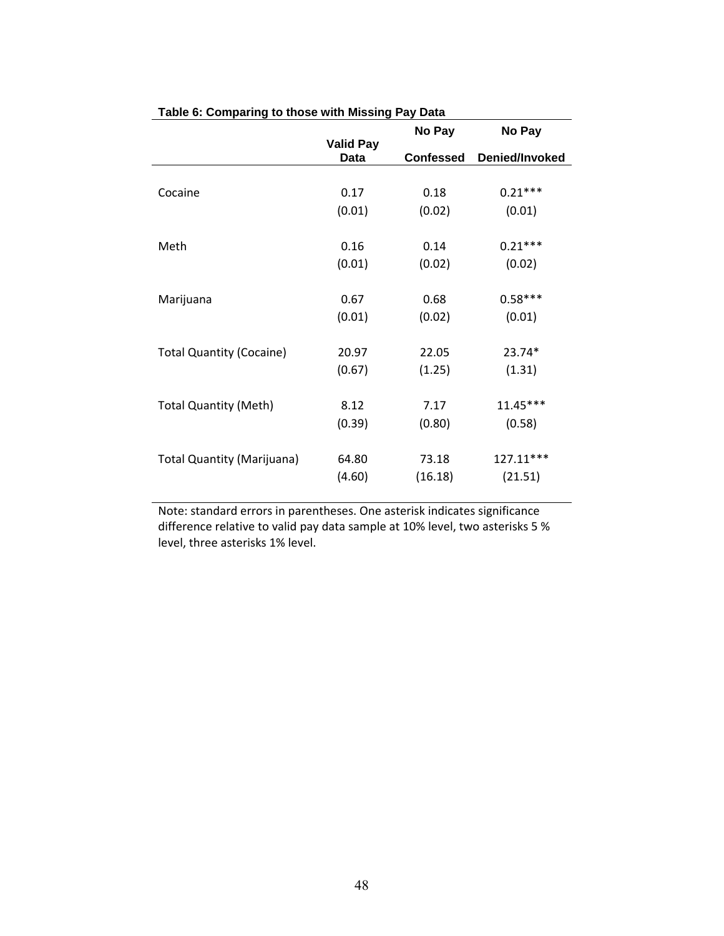| Table 6. Comparing to those with Missing Fay Data |                          | No Pay           | No Pay         |
|---------------------------------------------------|--------------------------|------------------|----------------|
|                                                   | <b>Valid Pay</b><br>Data | <b>Confessed</b> | Denied/Invoked |
|                                                   |                          |                  |                |
| Cocaine                                           | 0.17                     | 0.18             | $0.21***$      |
|                                                   | (0.01)                   | (0.02)           | (0.01)         |
|                                                   |                          |                  |                |
| Meth                                              | 0.16                     | 0.14             | $0.21***$      |
|                                                   | (0.01)                   | (0.02)           | (0.02)         |
|                                                   |                          |                  |                |
| Marijuana                                         | 0.67                     | 0.68             | $0.58***$      |
|                                                   | (0.01)                   | (0.02)           | (0.01)         |
|                                                   |                          |                  |                |
| <b>Total Quantity (Cocaine)</b>                   | 20.97                    | 22.05            | 23.74*         |
|                                                   | (0.67)                   | (1.25)           | (1.31)         |
|                                                   |                          |                  |                |
| <b>Total Quantity (Meth)</b>                      | 8.12                     | 7.17             | $11.45***$     |
|                                                   | (0.39)                   | (0.80)           | (0.58)         |
|                                                   |                          |                  |                |
| <b>Total Quantity (Marijuana)</b>                 | 64.80                    | 73.18            | $127.11***$    |
|                                                   | (4.60)                   | (16.18)          | (21.51)        |

**Table 6: Comparing to those with Missing Pay Data** 

Note: standard errors in parentheses. One asterisk indicates significance difference relative to valid pay data sample at 10% level, two asterisks 5 % level, three asterisks 1% level.